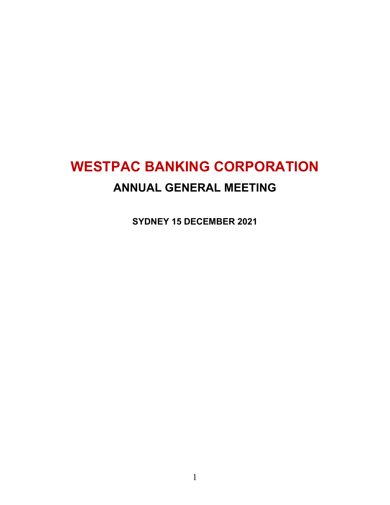# **WESTPAC BANKING CORPORATION ANNUAL GENERAL MEETING**

**SYDNEY 15 DECEMBER 2021**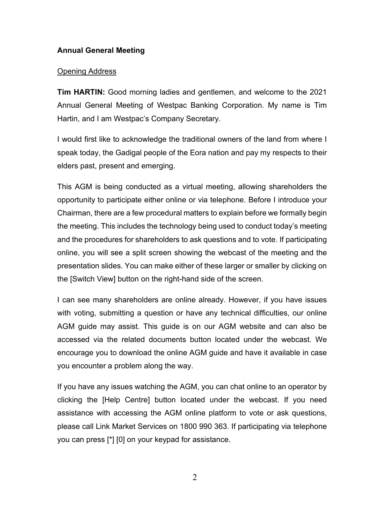## **Annual General Meeting**

## Opening Address

**Tim HARTIN:** Good morning ladies and gentlemen, and welcome to the 2021 Annual General Meeting of Westpac Banking Corporation. My name is Tim Hartin, and I am Westpac's Company Secretary.

I would first like to acknowledge the traditional owners of the land from where I speak today, the Gadigal people of the Eora nation and pay my respects to their elders past, present and emerging.

This AGM is being conducted as a virtual meeting, allowing shareholders the opportunity to participate either online or via telephone. Before I introduce your Chairman, there are a few procedural matters to explain before we formally begin the meeting. This includes the technology being used to conduct today's meeting and the procedures for shareholders to ask questions and to vote. If participating online, you will see a split screen showing the webcast of the meeting and the presentation slides. You can make either of these larger or smaller by clicking on the [Switch View] button on the right-hand side of the screen.

I can see many shareholders are online already. However, if you have issues with voting, submitting a question or have any technical difficulties, our online AGM guide may assist. This guide is on our AGM website and can also be accessed via the related documents button located under the webcast. We encourage you to download the online AGM guide and have it available in case you encounter a problem along the way.

If you have any issues watching the AGM, you can chat online to an operator by clicking the [Help Centre] button located under the webcast. If you need assistance with accessing the AGM online platform to vote or ask questions, please call Link Market Services on 1800 990 363. If participating via telephone you can press [\*] [0] on your keypad for assistance.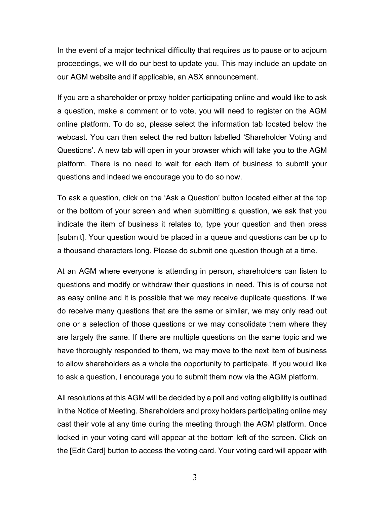In the event of a major technical difficulty that requires us to pause or to adjourn proceedings, we will do our best to update you. This may include an update on our AGM website and if applicable, an ASX announcement.

If you are a shareholder or proxy holder participating online and would like to ask a question, make a comment or to vote, you will need to register on the AGM online platform. To do so, please select the information tab located below the webcast. You can then select the red button labelled 'Shareholder Voting and Questions'. A new tab will open in your browser which will take you to the AGM platform. There is no need to wait for each item of business to submit your questions and indeed we encourage you to do so now.

To ask a question, click on the 'Ask a Question' button located either at the top or the bottom of your screen and when submitting a question, we ask that you indicate the item of business it relates to, type your question and then press [submit]. Your question would be placed in a queue and questions can be up to a thousand characters long. Please do submit one question though at a time.

At an AGM where everyone is attending in person, shareholders can listen to questions and modify or withdraw their questions in need. This is of course not as easy online and it is possible that we may receive duplicate questions. If we do receive many questions that are the same or similar, we may only read out one or a selection of those questions or we may consolidate them where they are largely the same. If there are multiple questions on the same topic and we have thoroughly responded to them, we may move to the next item of business to allow shareholders as a whole the opportunity to participate. If you would like to ask a question, I encourage you to submit them now via the AGM platform.

All resolutions at this AGM will be decided by a poll and voting eligibility is outlined in the Notice of Meeting. Shareholders and proxy holders participating online may cast their vote at any time during the meeting through the AGM platform. Once locked in your voting card will appear at the bottom left of the screen. Click on the [Edit Card] button to access the voting card. Your voting card will appear with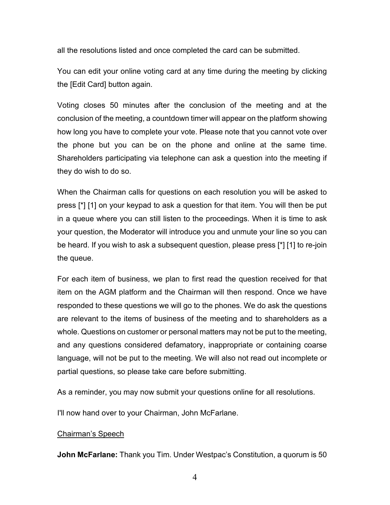all the resolutions listed and once completed the card can be submitted.

You can edit your online voting card at any time during the meeting by clicking the [Edit Card] button again.

Voting closes 50 minutes after the conclusion of the meeting and at the conclusion of the meeting, a countdown timer will appear on the platform showing how long you have to complete your vote. Please note that you cannot vote over the phone but you can be on the phone and online at the same time. Shareholders participating via telephone can ask a question into the meeting if they do wish to do so.

When the Chairman calls for questions on each resolution you will be asked to press [\*] [1] on your keypad to ask a question for that item. You will then be put in a queue where you can still listen to the proceedings. When it is time to ask your question, the Moderator will introduce you and unmute your line so you can be heard. If you wish to ask a subsequent question, please press [\*] [1] to re-join the queue.

For each item of business, we plan to first read the question received for that item on the AGM platform and the Chairman will then respond. Once we have responded to these questions we will go to the phones. We do ask the questions are relevant to the items of business of the meeting and to shareholders as a whole. Questions on customer or personal matters may not be put to the meeting, and any questions considered defamatory, inappropriate or containing coarse language, will not be put to the meeting. We will also not read out incomplete or partial questions, so please take care before submitting.

As a reminder, you may now submit your questions online for all resolutions.

I'll now hand over to your Chairman, John McFarlane.

## Chairman's Speech

**John McFarlane:** Thank you Tim. Under Westpac's Constitution, a quorum is 50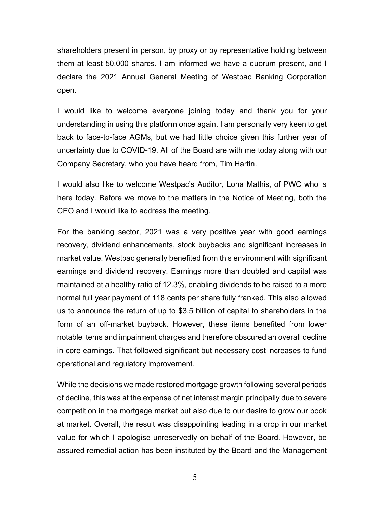shareholders present in person, by proxy or by representative holding between them at least 50,000 shares. I am informed we have a quorum present, and I declare the 2021 Annual General Meeting of Westpac Banking Corporation open.

I would like to welcome everyone joining today and thank you for your understanding in using this platform once again. I am personally very keen to get back to face-to-face AGMs, but we had little choice given this further year of uncertainty due to COVID-19. All of the Board are with me today along with our Company Secretary, who you have heard from, Tim Hartin.

I would also like to welcome Westpac's Auditor, Lona Mathis, of PWC who is here today. Before we move to the matters in the Notice of Meeting, both the CEO and I would like to address the meeting.

For the banking sector, 2021 was a very positive year with good earnings recovery, dividend enhancements, stock buybacks and significant increases in market value. Westpac generally benefited from this environment with significant earnings and dividend recovery. Earnings more than doubled and capital was maintained at a healthy ratio of 12.3%, enabling dividends to be raised to a more normal full year payment of 118 cents per share fully franked. This also allowed us to announce the return of up to \$3.5 billion of capital to shareholders in the form of an off-market buyback. However, these items benefited from lower notable items and impairment charges and therefore obscured an overall decline in core earnings. That followed significant but necessary cost increases to fund operational and regulatory improvement.

While the decisions we made restored mortgage growth following several periods of decline, this was at the expense of net interest margin principally due to severe competition in the mortgage market but also due to our desire to grow our book at market. Overall, the result was disappointing leading in a drop in our market value for which I apologise unreservedly on behalf of the Board. However, be assured remedial action has been instituted by the Board and the Management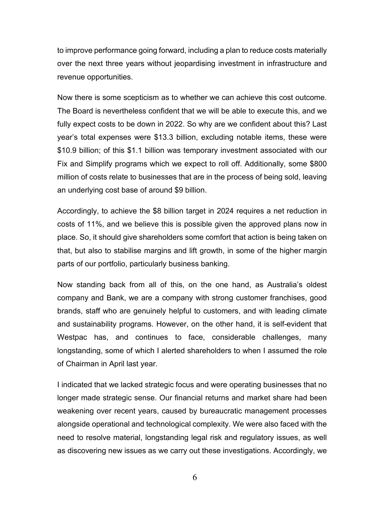to improve performance going forward, including a plan to reduce costs materially over the next three years without jeopardising investment in infrastructure and revenue opportunities.

Now there is some scepticism as to whether we can achieve this cost outcome. The Board is nevertheless confident that we will be able to execute this, and we fully expect costs to be down in 2022. So why are we confident about this? Last year's total expenses were \$13.3 billion, excluding notable items, these were \$10.9 billion; of this \$1.1 billion was temporary investment associated with our Fix and Simplify programs which we expect to roll off. Additionally, some \$800 million of costs relate to businesses that are in the process of being sold, leaving an underlying cost base of around \$9 billion.

Accordingly, to achieve the \$8 billion target in 2024 requires a net reduction in costs of 11%, and we believe this is possible given the approved plans now in place. So, it should give shareholders some comfort that action is being taken on that, but also to stabilise margins and lift growth, in some of the higher margin parts of our portfolio, particularly business banking.

Now standing back from all of this, on the one hand, as Australia's oldest company and Bank, we are a company with strong customer franchises, good brands, staff who are genuinely helpful to customers, and with leading climate and sustainability programs. However, on the other hand, it is self-evident that Westpac has, and continues to face, considerable challenges, many longstanding, some of which I alerted shareholders to when I assumed the role of Chairman in April last year.

I indicated that we lacked strategic focus and were operating businesses that no longer made strategic sense. Our financial returns and market share had been weakening over recent years, caused by bureaucratic management processes alongside operational and technological complexity. We were also faced with the need to resolve material, longstanding legal risk and regulatory issues, as well as discovering new issues as we carry out these investigations. Accordingly, we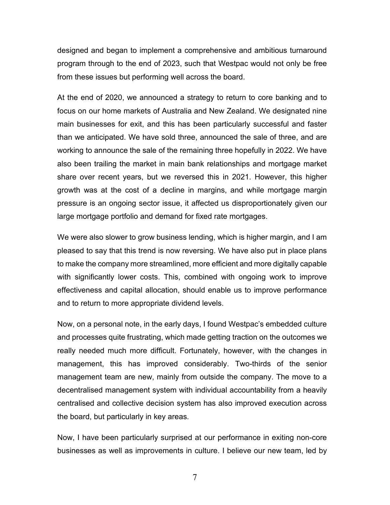designed and began to implement a comprehensive and ambitious turnaround program through to the end of 2023, such that Westpac would not only be free from these issues but performing well across the board.

At the end of 2020, we announced a strategy to return to core banking and to focus on our home markets of Australia and New Zealand. We designated nine main businesses for exit, and this has been particularly successful and faster than we anticipated. We have sold three, announced the sale of three, and are working to announce the sale of the remaining three hopefully in 2022. We have also been trailing the market in main bank relationships and mortgage market share over recent years, but we reversed this in 2021. However, this higher growth was at the cost of a decline in margins, and while mortgage margin pressure is an ongoing sector issue, it affected us disproportionately given our large mortgage portfolio and demand for fixed rate mortgages.

We were also slower to grow business lending, which is higher margin, and I am pleased to say that this trend is now reversing. We have also put in place plans to make the company more streamlined, more efficient and more digitally capable with significantly lower costs. This, combined with ongoing work to improve effectiveness and capital allocation, should enable us to improve performance and to return to more appropriate dividend levels.

Now, on a personal note, in the early days, I found Westpac's embedded culture and processes quite frustrating, which made getting traction on the outcomes we really needed much more difficult. Fortunately, however, with the changes in management, this has improved considerably. Two-thirds of the senior management team are new, mainly from outside the company. The move to a decentralised management system with individual accountability from a heavily centralised and collective decision system has also improved execution across the board, but particularly in key areas.

Now, I have been particularly surprised at our performance in exiting non-core businesses as well as improvements in culture. I believe our new team, led by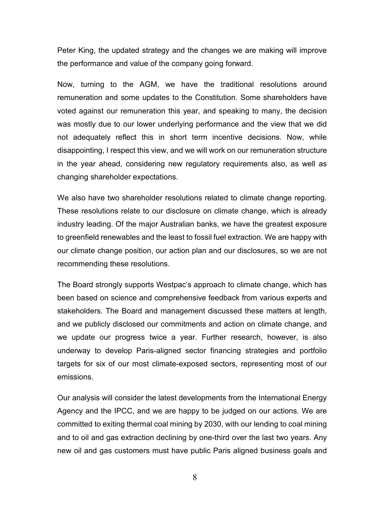Peter King, the updated strategy and the changes we are making will improve the performance and value of the company going forward.

Now, turning to the AGM, we have the traditional resolutions around remuneration and some updates to the Constitution. Some shareholders have voted against our remuneration this year, and speaking to many, the decision was mostly due to our lower underlying performance and the view that we did not adequately reflect this in short term incentive decisions. Now, while disappointing, I respect this view, and we will work on our remuneration structure in the year ahead, considering new regulatory requirements also, as well as changing shareholder expectations.

We also have two shareholder resolutions related to climate change reporting. These resolutions relate to our disclosure on climate change, which is already industry leading. Of the major Australian banks, we have the greatest exposure to greenfield renewables and the least to fossil fuel extraction. We are happy with our climate change position, our action plan and our disclosures, so we are not recommending these resolutions.

The Board strongly supports Westpac's approach to climate change, which has been based on science and comprehensive feedback from various experts and stakeholders. The Board and management discussed these matters at length, and we publicly disclosed our commitments and action on climate change, and we update our progress twice a year. Further research, however, is also underway to develop Paris-aligned sector financing strategies and portfolio targets for six of our most climate-exposed sectors, representing most of our emissions.

Our analysis will consider the latest developments from the International Energy Agency and the IPCC, and we are happy to be judged on our actions. We are committed to exiting thermal coal mining by 2030, with our lending to coal mining and to oil and gas extraction declining by one-third over the last two years. Any new oil and gas customers must have public Paris aligned business goals and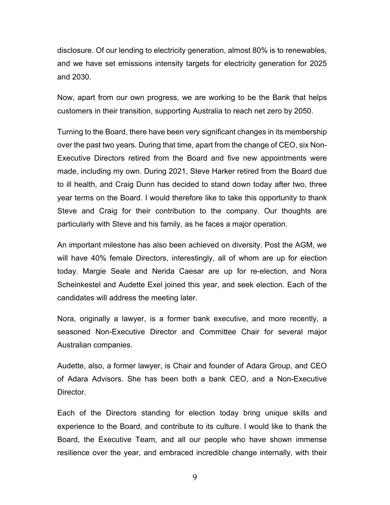disclosure. Of our lending to electricity generation, almost 80% is to renewables, and we have set emissions intensity targets for electricity generation for 2025 and 2030.

Now, apart from our own progress, we are working to be the Bank that helps customers in their transition, supporting Australia to reach net zero by 2050.

Turning to the Board, there have been very significant changes in its membership over the past two years. During that time, apart from the change of CEO, six Non-Executive Directors retired from the Board and five new appointments were made, including my own. During 2021, Steve Harker retired from the Board due to ill health, and Craig Dunn has decided to stand down today after two, three year terms on the Board. I would therefore like to take this opportunity to thank Steve and Craig for their contribution to the company. Our thoughts are particularly with Steve and his family, as he faces a major operation.

An important milestone has also been achieved on diversity. Post the AGM, we will have 40% female Directors, interestingly, all of whom are up for election today. Margie Seale and Nerida Caesar are up for re-election, and Nora Scheinkestel and Audette Exel joined this year, and seek election. Each of the candidates will address the meeting later.

Nora, originally a lawyer, is a former bank executive, and more recently, a seasoned Non-Executive Director and Committee Chair for several major Australian companies.

Audette, also, a former lawyer, is Chair and founder of Adara Group, and CEO of Adara Advisors. She has been both a bank CEO, and a Non-Executive Director.

Each of the Directors standing for election today bring unique skills and experience to the Board, and contribute to its culture. I would like to thank the Board, the Executive Team, and all our people who have shown immense resilience over the year, and embraced incredible change internally, with their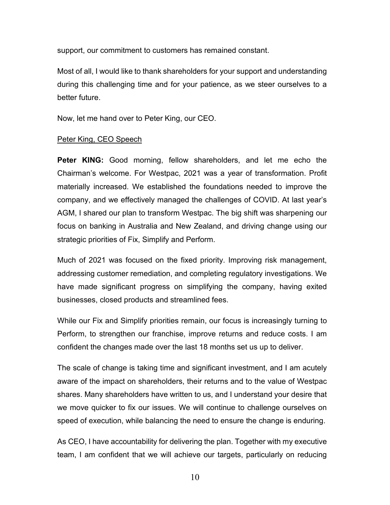support, our commitment to customers has remained constant.

Most of all, I would like to thank shareholders for your support and understanding during this challenging time and for your patience, as we steer ourselves to a better future.

Now, let me hand over to Peter King, our CEO.

## Peter King, CEO Speech

**Peter KING:** Good morning, fellow shareholders, and let me echo the Chairman's welcome. For Westpac, 2021 was a year of transformation. Profit materially increased. We established the foundations needed to improve the company, and we effectively managed the challenges of COVID. At last year's AGM, I shared our plan to transform Westpac. The big shift was sharpening our focus on banking in Australia and New Zealand, and driving change using our strategic priorities of Fix, Simplify and Perform.

Much of 2021 was focused on the fixed priority. Improving risk management, addressing customer remediation, and completing regulatory investigations. We have made significant progress on simplifying the company, having exited businesses, closed products and streamlined fees.

While our Fix and Simplify priorities remain, our focus is increasingly turning to Perform, to strengthen our franchise, improve returns and reduce costs. I am confident the changes made over the last 18 months set us up to deliver.

The scale of change is taking time and significant investment, and I am acutely aware of the impact on shareholders, their returns and to the value of Westpac shares. Many shareholders have written to us, and I understand your desire that we move quicker to fix our issues. We will continue to challenge ourselves on speed of execution, while balancing the need to ensure the change is enduring.

As CEO, I have accountability for delivering the plan. Together with my executive team, I am confident that we will achieve our targets, particularly on reducing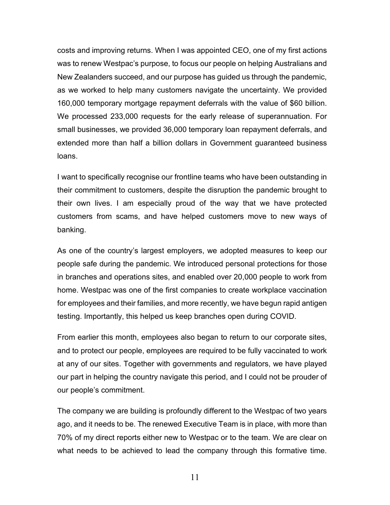costs and improving returns. When I was appointed CEO, one of my first actions was to renew Westpac's purpose, to focus our people on helping Australians and New Zealanders succeed, and our purpose has guided us through the pandemic, as we worked to help many customers navigate the uncertainty. We provided 160,000 temporary mortgage repayment deferrals with the value of \$60 billion. We processed 233,000 requests for the early release of superannuation. For small businesses, we provided 36,000 temporary loan repayment deferrals, and extended more than half a billion dollars in Government guaranteed business loans.

I want to specifically recognise our frontline teams who have been outstanding in their commitment to customers, despite the disruption the pandemic brought to their own lives. I am especially proud of the way that we have protected customers from scams, and have helped customers move to new ways of banking.

As one of the country's largest employers, we adopted measures to keep our people safe during the pandemic. We introduced personal protections for those in branches and operations sites, and enabled over 20,000 people to work from home. Westpac was one of the first companies to create workplace vaccination for employees and their families, and more recently, we have begun rapid antigen testing. Importantly, this helped us keep branches open during COVID.

From earlier this month, employees also began to return to our corporate sites, and to protect our people, employees are required to be fully vaccinated to work at any of our sites. Together with governments and regulators, we have played our part in helping the country navigate this period, and I could not be prouder of our people's commitment.

The company we are building is profoundly different to the Westpac of two years ago, and it needs to be. The renewed Executive Team is in place, with more than 70% of my direct reports either new to Westpac or to the team. We are clear on what needs to be achieved to lead the company through this formative time.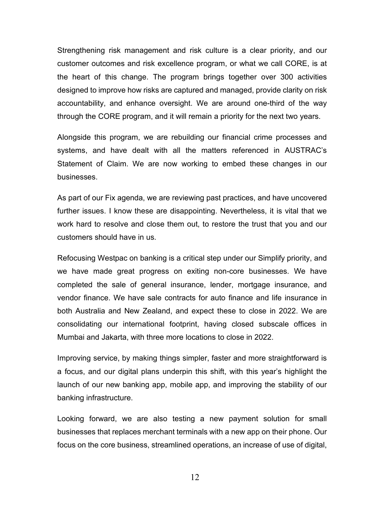Strengthening risk management and risk culture is a clear priority, and our customer outcomes and risk excellence program, or what we call CORE, is at the heart of this change. The program brings together over 300 activities designed to improve how risks are captured and managed, provide clarity on risk accountability, and enhance oversight. We are around one-third of the way through the CORE program, and it will remain a priority for the next two years.

Alongside this program, we are rebuilding our financial crime processes and systems, and have dealt with all the matters referenced in AUSTRAC's Statement of Claim. We are now working to embed these changes in our businesses.

As part of our Fix agenda, we are reviewing past practices, and have uncovered further issues. I know these are disappointing. Nevertheless, it is vital that we work hard to resolve and close them out, to restore the trust that you and our customers should have in us.

Refocusing Westpac on banking is a critical step under our Simplify priority, and we have made great progress on exiting non-core businesses. We have completed the sale of general insurance, lender, mortgage insurance, and vendor finance. We have sale contracts for auto finance and life insurance in both Australia and New Zealand, and expect these to close in 2022. We are consolidating our international footprint, having closed subscale offices in Mumbai and Jakarta, with three more locations to close in 2022.

Improving service, by making things simpler, faster and more straightforward is a focus, and our digital plans underpin this shift, with this year's highlight the launch of our new banking app, mobile app, and improving the stability of our banking infrastructure.

Looking forward, we are also testing a new payment solution for small businesses that replaces merchant terminals with a new app on their phone. Our focus on the core business, streamlined operations, an increase of use of digital,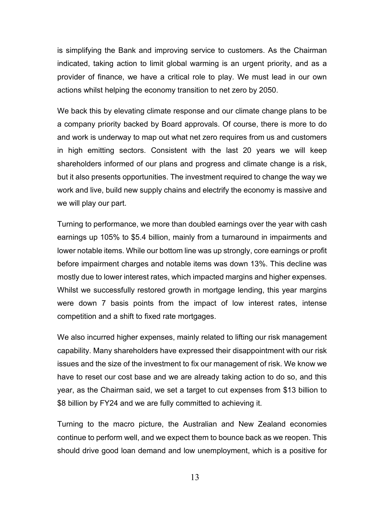is simplifying the Bank and improving service to customers. As the Chairman indicated, taking action to limit global warming is an urgent priority, and as a provider of finance, we have a critical role to play. We must lead in our own actions whilst helping the economy transition to net zero by 2050.

We back this by elevating climate response and our climate change plans to be a company priority backed by Board approvals. Of course, there is more to do and work is underway to map out what net zero requires from us and customers in high emitting sectors. Consistent with the last 20 years we will keep shareholders informed of our plans and progress and climate change is a risk, but it also presents opportunities. The investment required to change the way we work and live, build new supply chains and electrify the economy is massive and we will play our part.

Turning to performance, we more than doubled earnings over the year with cash earnings up 105% to \$5.4 billion, mainly from a turnaround in impairments and lower notable items. While our bottom line was up strongly, core earnings or profit before impairment charges and notable items was down 13%. This decline was mostly due to lower interest rates, which impacted margins and higher expenses. Whilst we successfully restored growth in mortgage lending, this year margins were down 7 basis points from the impact of low interest rates, intense competition and a shift to fixed rate mortgages.

We also incurred higher expenses, mainly related to lifting our risk management capability. Many shareholders have expressed their disappointment with our risk issues and the size of the investment to fix our management of risk. We know we have to reset our cost base and we are already taking action to do so, and this year, as the Chairman said, we set a target to cut expenses from \$13 billion to \$8 billion by FY24 and we are fully committed to achieving it.

Turning to the macro picture, the Australian and New Zealand economies continue to perform well, and we expect them to bounce back as we reopen. This should drive good loan demand and low unemployment, which is a positive for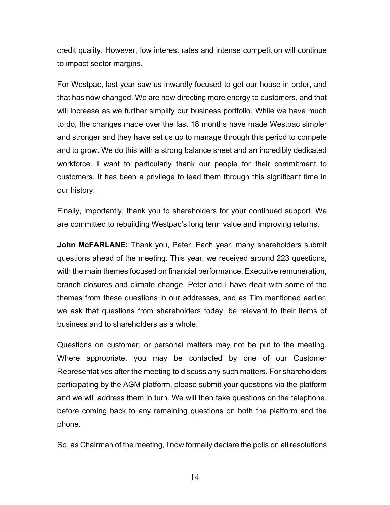credit quality. However, low interest rates and intense competition will continue to impact sector margins.

For Westpac, last year saw us inwardly focused to get our house in order, and that has now changed. We are now directing more energy to customers, and that will increase as we further simplify our business portfolio. While we have much to do, the changes made over the last 18 months have made Westpac simpler and stronger and they have set us up to manage through this period to compete and to grow. We do this with a strong balance sheet and an incredibly dedicated workforce. I want to particularly thank our people for their commitment to customers. It has been a privilege to lead them through this significant time in our history.

Finally, importantly, thank you to shareholders for your continued support. We are committed to rebuilding Westpac's long term value and improving returns.

**John McFARLANE:** Thank you, Peter. Each year, many shareholders submit questions ahead of the meeting. This year, we received around 223 questions, with the main themes focused on financial performance, Executive remuneration, branch closures and climate change. Peter and I have dealt with some of the themes from these questions in our addresses, and as Tim mentioned earlier, we ask that questions from shareholders today, be relevant to their items of business and to shareholders as a whole.

Questions on customer, or personal matters may not be put to the meeting. Where appropriate, you may be contacted by one of our Customer Representatives after the meeting to discuss any such matters. For shareholders participating by the AGM platform, please submit your questions via the platform and we will address them in turn. We will then take questions on the telephone, before coming back to any remaining questions on both the platform and the phone.

So, as Chairman of the meeting, I now formally declare the polls on all resolutions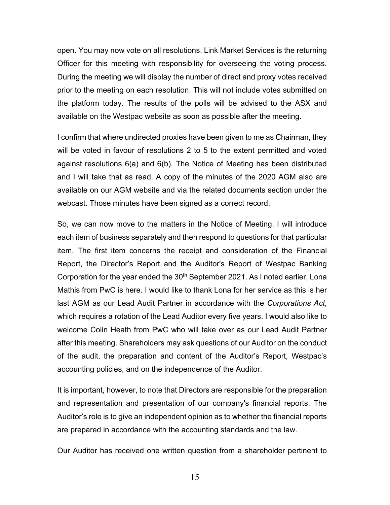open. You may now vote on all resolutions. Link Market Services is the returning Officer for this meeting with responsibility for overseeing the voting process. During the meeting we will display the number of direct and proxy votes received prior to the meeting on each resolution. This will not include votes submitted on the platform today. The results of the polls will be advised to the ASX and available on the Westpac website as soon as possible after the meeting.

I confirm that where undirected proxies have been given to me as Chairman, they will be voted in favour of resolutions 2 to 5 to the extent permitted and voted against resolutions 6(a) and 6(b). The Notice of Meeting has been distributed and I will take that as read. A copy of the minutes of the 2020 AGM also are available on our AGM website and via the related documents section under the webcast. Those minutes have been signed as a correct record.

So, we can now move to the matters in the Notice of Meeting. I will introduce each item of business separately and then respond to questions for that particular item. The first item concerns the receipt and consideration of the Financial Report, the Director's Report and the Auditor's Report of Westpac Banking Corporation for the year ended the 30<sup>th</sup> September 2021. As I noted earlier, Lona Mathis from PwC is here. I would like to thank Lona for her service as this is her last AGM as our Lead Audit Partner in accordance with the *Corporations Act*, which requires a rotation of the Lead Auditor every five years. I would also like to welcome Colin Heath from PwC who will take over as our Lead Audit Partner after this meeting. Shareholders may ask questions of our Auditor on the conduct of the audit, the preparation and content of the Auditor's Report, Westpac's accounting policies, and on the independence of the Auditor.

It is important, however, to note that Directors are responsible for the preparation and representation and presentation of our company's financial reports. The Auditor's role is to give an independent opinion as to whether the financial reports are prepared in accordance with the accounting standards and the law.

Our Auditor has received one written question from a shareholder pertinent to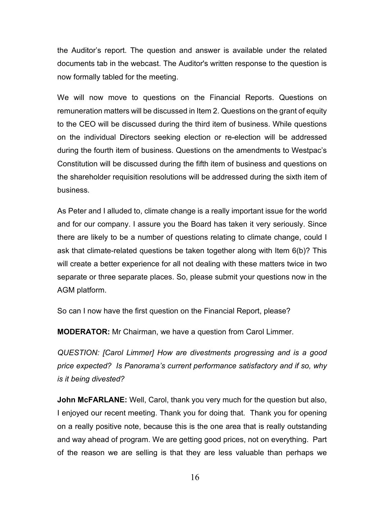the Auditor's report. The question and answer is available under the related documents tab in the webcast. The Auditor's written response to the question is now formally tabled for the meeting.

We will now move to questions on the Financial Reports. Questions on remuneration matters will be discussed in Item 2. Questions on the grant of equity to the CEO will be discussed during the third item of business. While questions on the individual Directors seeking election or re-election will be addressed during the fourth item of business. Questions on the amendments to Westpac's Constitution will be discussed during the fifth item of business and questions on the shareholder requisition resolutions will be addressed during the sixth item of business.

As Peter and I alluded to, climate change is a really important issue for the world and for our company. I assure you the Board has taken it very seriously. Since there are likely to be a number of questions relating to climate change, could I ask that climate-related questions be taken together along with Item 6(b)? This will create a better experience for all not dealing with these matters twice in two separate or three separate places. So, please submit your questions now in the AGM platform.

So can I now have the first question on the Financial Report, please?

**MODERATOR:** Mr Chairman, we have a question from Carol Limmer.

*QUESTION: [Carol Limmer] How are divestments progressing and is a good price expected? Is Panorama's current performance satisfactory and if so, why is it being divested?*

**John McFARLANE:** Well, Carol, thank you very much for the question but also, I enjoyed our recent meeting. Thank you for doing that. Thank you for opening on a really positive note, because this is the one area that is really outstanding and way ahead of program. We are getting good prices, not on everything. Part of the reason we are selling is that they are less valuable than perhaps we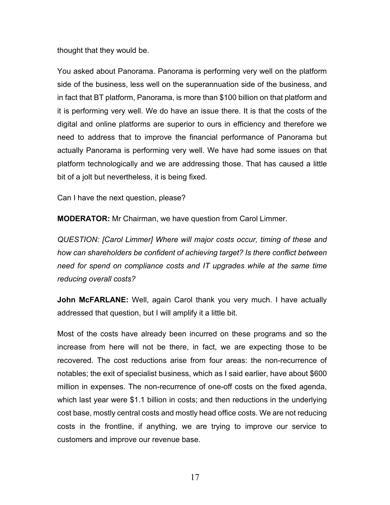thought that they would be.

You asked about Panorama. Panorama is performing very well on the platform side of the business, less well on the superannuation side of the business, and in fact that BT platform, Panorama, is more than \$100 billion on that platform and it is performing very well. We do have an issue there. It is that the costs of the digital and online platforms are superior to ours in efficiency and therefore we need to address that to improve the financial performance of Panorama but actually Panorama is performing very well. We have had some issues on that platform technologically and we are addressing those. That has caused a little bit of a jolt but nevertheless, it is being fixed.

Can I have the next question, please?

**MODERATOR:** Mr Chairman, we have question from Carol Limmer.

*QUESTION: [Carol Limmer] Where will major costs occur, timing of these and how can shareholders be confident of achieving target? Is there conflict between need for spend on compliance costs and IT upgrades while at the same time reducing overall costs?*

**John McFARLANE:** Well, again Carol thank you very much. I have actually addressed that question, but I will amplify it a little bit.

Most of the costs have already been incurred on these programs and so the increase from here will not be there, in fact, we are expecting those to be recovered. The cost reductions arise from four areas: the non-recurrence of notables; the exit of specialist business, which as I said earlier, have about \$600 million in expenses. The non-recurrence of one-off costs on the fixed agenda, which last year were \$1.1 billion in costs; and then reductions in the underlying cost base, mostly central costs and mostly head office costs. We are not reducing costs in the frontline, if anything, we are trying to improve our service to customers and improve our revenue base.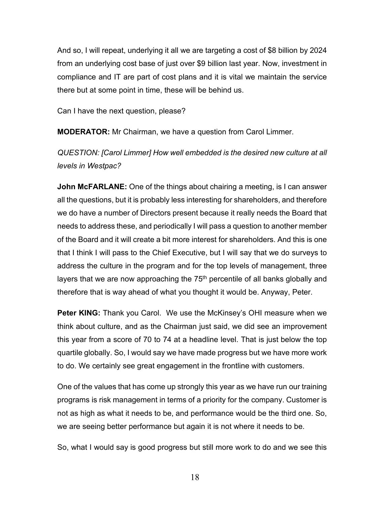And so, I will repeat, underlying it all we are targeting a cost of \$8 billion by 2024 from an underlying cost base of just over \$9 billion last year. Now, investment in compliance and IT are part of cost plans and it is vital we maintain the service there but at some point in time, these will be behind us.

Can I have the next question, please?

**MODERATOR:** Mr Chairman, we have a question from Carol Limmer.

*QUESTION: [Carol Limmer] How well embedded is the desired new culture at all levels in Westpac?*

**John McFARLANE:** One of the things about chairing a meeting, is I can answer all the questions, but it is probably less interesting for shareholders, and therefore we do have a number of Directors present because it really needs the Board that needs to address these, and periodically I will pass a question to another member of the Board and it will create a bit more interest for shareholders. And this is one that I think I will pass to the Chief Executive, but I will say that we do surveys to address the culture in the program and for the top levels of management, three layers that we are now approaching the  $75<sup>th</sup>$  percentile of all banks globally and therefore that is way ahead of what you thought it would be. Anyway, Peter.

**Peter KING:** Thank you Carol. We use the McKinsey's OHI measure when we think about culture, and as the Chairman just said, we did see an improvement this year from a score of 70 to 74 at a headline level. That is just below the top quartile globally. So, I would say we have made progress but we have more work to do. We certainly see great engagement in the frontline with customers.

One of the values that has come up strongly this year as we have run our training programs is risk management in terms of a priority for the company. Customer is not as high as what it needs to be, and performance would be the third one. So, we are seeing better performance but again it is not where it needs to be.

So, what I would say is good progress but still more work to do and we see this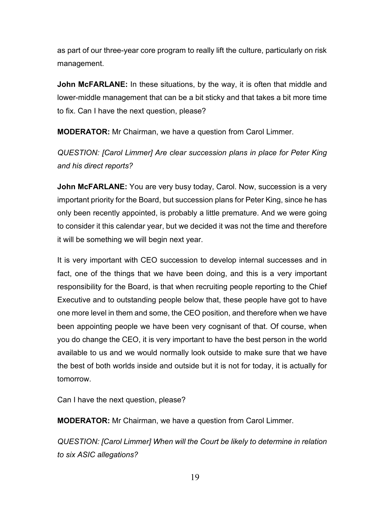as part of our three-year core program to really lift the culture, particularly on risk management.

**John McFARLANE:** In these situations, by the way, it is often that middle and lower-middle management that can be a bit sticky and that takes a bit more time to fix. Can I have the next question, please?

**MODERATOR:** Mr Chairman, we have a question from Carol Limmer.

*QUESTION: [Carol Limmer] Are clear succession plans in place for Peter King and his direct reports?*

**John McFARLANE:** You are very busy today, Carol. Now, succession is a very important priority for the Board, but succession plans for Peter King, since he has only been recently appointed, is probably a little premature. And we were going to consider it this calendar year, but we decided it was not the time and therefore it will be something we will begin next year.

It is very important with CEO succession to develop internal successes and in fact, one of the things that we have been doing, and this is a very important responsibility for the Board, is that when recruiting people reporting to the Chief Executive and to outstanding people below that, these people have got to have one more level in them and some, the CEO position, and therefore when we have been appointing people we have been very cognisant of that. Of course, when you do change the CEO, it is very important to have the best person in the world available to us and we would normally look outside to make sure that we have the best of both worlds inside and outside but it is not for today, it is actually for tomorrow.

Can I have the next question, please?

**MODERATOR:** Mr Chairman, we have a question from Carol Limmer.

*QUESTION: [Carol Limmer] When will the Court be likely to determine in relation to six ASIC allegations?*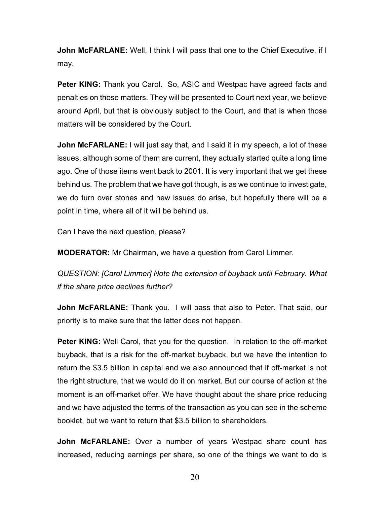**John McFARLANE:** Well, I think I will pass that one to the Chief Executive, if I may.

**Peter KING:** Thank you Carol. So, ASIC and Westpac have agreed facts and penalties on those matters. They will be presented to Court next year, we believe around April, but that is obviously subject to the Court, and that is when those matters will be considered by the Court.

**John McFARLANE:** I will just say that, and I said it in my speech, a lot of these issues, although some of them are current, they actually started quite a long time ago. One of those items went back to 2001. It is very important that we get these behind us. The problem that we have got though, is as we continue to investigate, we do turn over stones and new issues do arise, but hopefully there will be a point in time, where all of it will be behind us.

Can I have the next question, please?

**MODERATOR:** Mr Chairman, we have a question from Carol Limmer.

*QUESTION: [Carol Limmer] Note the extension of buyback until February. What if the share price declines further?*

**John McFARLANE:** Thank you. I will pass that also to Peter. That said, our priority is to make sure that the latter does not happen.

**Peter KING:** Well Carol, that you for the question. In relation to the off-market buyback, that is a risk for the off-market buyback, but we have the intention to return the \$3.5 billion in capital and we also announced that if off-market is not the right structure, that we would do it on market. But our course of action at the moment is an off-market offer. We have thought about the share price reducing and we have adjusted the terms of the transaction as you can see in the scheme booklet, but we want to return that \$3.5 billion to shareholders.

**John McFARLANE:** Over a number of years Westpac share count has increased, reducing earnings per share, so one of the things we want to do is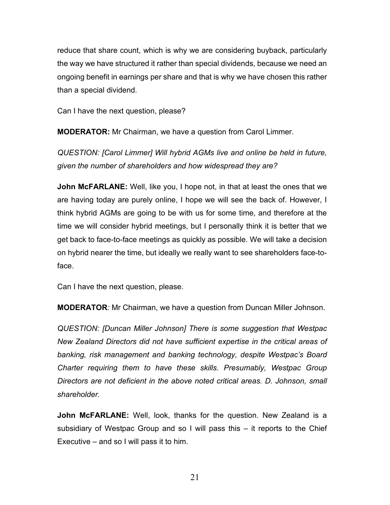reduce that share count, which is why we are considering buyback, particularly the way we have structured it rather than special dividends, because we need an ongoing benefit in earnings per share and that is why we have chosen this rather than a special dividend.

Can I have the next question, please?

**MODERATOR:** Mr Chairman, we have a question from Carol Limmer.

*QUESTION: [Carol Limmer] Will hybrid AGMs live and online be held in future, given the number of shareholders and how widespread they are?*

**John McFARLANE:** Well, like you, I hope not, in that at least the ones that we are having today are purely online, I hope we will see the back of. However, I think hybrid AGMs are going to be with us for some time, and therefore at the time we will consider hybrid meetings, but I personally think it is better that we get back to face-to-face meetings as quickly as possible. We will take a decision on hybrid nearer the time, but ideally we really want to see shareholders face-toface.

Can I have the next question, please.

**MODERATOR***:* Mr Chairman, we have a question from Duncan Miller Johnson.

*QUESTION: [Duncan Miller Johnson] There is some suggestion that Westpac New Zealand Directors did not have sufficient expertise in the critical areas of banking, risk management and banking technology, despite Westpac's Board Charter requiring them to have these skills. Presumably, Westpac Group Directors are not deficient in the above noted critical areas. D. Johnson, small shareholder.* 

**John McFARLANE:** Well, look, thanks for the question. New Zealand is a subsidiary of Westpac Group and so I will pass this – it reports to the Chief Executive – and so I will pass it to him.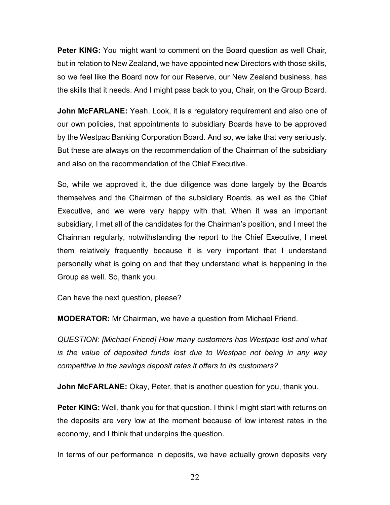**Peter KING:** You might want to comment on the Board question as well Chair, but in relation to New Zealand, we have appointed new Directors with those skills, so we feel like the Board now for our Reserve, our New Zealand business, has the skills that it needs. And I might pass back to you, Chair, on the Group Board.

**John McFARLANE:** Yeah. Look, it is a regulatory requirement and also one of our own policies, that appointments to subsidiary Boards have to be approved by the Westpac Banking Corporation Board. And so, we take that very seriously. But these are always on the recommendation of the Chairman of the subsidiary and also on the recommendation of the Chief Executive.

So, while we approved it, the due diligence was done largely by the Boards themselves and the Chairman of the subsidiary Boards, as well as the Chief Executive, and we were very happy with that. When it was an important subsidiary, I met all of the candidates for the Chairman's position, and I meet the Chairman regularly, notwithstanding the report to the Chief Executive, I meet them relatively frequently because it is very important that I understand personally what is going on and that they understand what is happening in the Group as well. So, thank you.

Can have the next question, please?

**MODERATOR:** Mr Chairman, we have a question from Michael Friend.

*QUESTION: [Michael Friend] How many customers has Westpac lost and what is the value of deposited funds lost due to Westpac not being in any way competitive in the savings deposit rates it offers to its customers?* 

**John McFARLANE:** Okay, Peter, that is another question for you, thank you.

**Peter KING:** Well, thank you for that question. I think I might start with returns on the deposits are very low at the moment because of low interest rates in the economy, and I think that underpins the question.

In terms of our performance in deposits, we have actually grown deposits very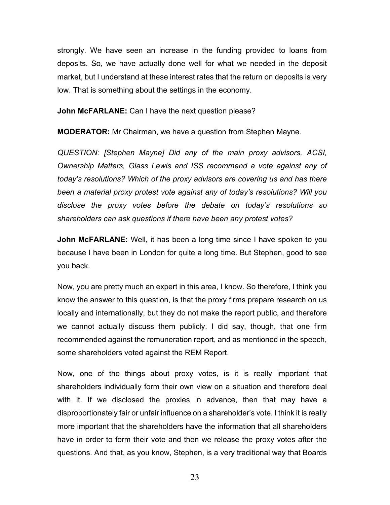strongly. We have seen an increase in the funding provided to loans from deposits. So, we have actually done well for what we needed in the deposit market, but I understand at these interest rates that the return on deposits is very low. That is something about the settings in the economy.

**John McFARLANE:** Can I have the next question please?

**MODERATOR:** Mr Chairman, we have a question from Stephen Mayne.

*QUESTION: [Stephen Mayne] Did any of the main proxy advisors, ACSI, Ownership Matters, Glass Lewis and ISS recommend a vote against any of today's resolutions? Which of the proxy advisors are covering us and has there been a material proxy protest vote against any of today's resolutions? Will you disclose the proxy votes before the debate on today's resolutions so shareholders can ask questions if there have been any protest votes?*

**John McFARLANE:** Well, it has been a long time since I have spoken to you because I have been in London for quite a long time. But Stephen, good to see you back.

Now, you are pretty much an expert in this area, I know. So therefore, I think you know the answer to this question, is that the proxy firms prepare research on us locally and internationally, but they do not make the report public, and therefore we cannot actually discuss them publicly. I did say, though, that one firm recommended against the remuneration report, and as mentioned in the speech, some shareholders voted against the REM Report.

Now, one of the things about proxy votes, is it is really important that shareholders individually form their own view on a situation and therefore deal with it. If we disclosed the proxies in advance, then that may have a disproportionately fair or unfair influence on a shareholder's vote. I think it is really more important that the shareholders have the information that all shareholders have in order to form their vote and then we release the proxy votes after the questions. And that, as you know, Stephen, is a very traditional way that Boards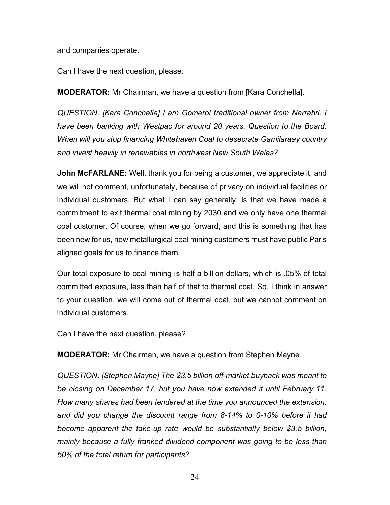and companies operate.

Can I have the next question, please.

**MODERATOR:** Mr Chairman, we have a question from [Kara Conchella].

*QUESTION: [Kara Conchella] I am Gomeroi traditional owner from Narrabri. I have been banking with Westpac for around 20 years. Question to the Board: When will you stop financing Whitehaven Coal to desecrate Gamilaraay country and invest heavily in renewables in northwest New South Wales?*

**John McFARLANE:** Well, thank you for being a customer, we appreciate it, and we will not comment, unfortunately, because of privacy on individual facilities or individual customers. But what I can say generally, is that we have made a commitment to exit thermal coal mining by 2030 and we only have one thermal coal customer. Of course, when we go forward, and this is something that has been new for us, new metallurgical coal mining customers must have public Paris aligned goals for us to finance them.

Our total exposure to coal mining is half a billion dollars, which is .05% of total committed exposure, less than half of that to thermal coal. So, I think in answer to your question, we will come out of thermal coal, but we cannot comment on individual customers.

Can I have the next question, please?

**MODERATOR:** Mr Chairman, we have a question from Stephen Mayne.

*QUESTION: [Stephen Mayne] The \$3.5 billion off-market buyback was meant to be closing on December 17, but you have now extended it until February 11. How many shares had been tendered at the time you announced the extension, and did you change the discount range from 8-14% to 0-10% before it had become apparent the take-up rate would be substantially below \$3.5 billion, mainly because a fully franked dividend component was going to be less than 50% of the total return for participants?*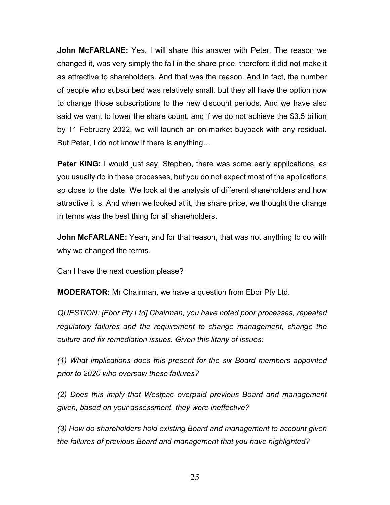**John McFARLANE:** Yes, I will share this answer with Peter. The reason we changed it, was very simply the fall in the share price, therefore it did not make it as attractive to shareholders. And that was the reason. And in fact, the number of people who subscribed was relatively small, but they all have the option now to change those subscriptions to the new discount periods. And we have also said we want to lower the share count, and if we do not achieve the \$3.5 billion by 11 February 2022, we will launch an on-market buyback with any residual. But Peter, I do not know if there is anything…

**Peter KING:** I would just say, Stephen, there was some early applications, as you usually do in these processes, but you do not expect most of the applications so close to the date. We look at the analysis of different shareholders and how attractive it is. And when we looked at it, the share price, we thought the change in terms was the best thing for all shareholders.

**John McFARLANE:** Yeah, and for that reason, that was not anything to do with why we changed the terms.

Can I have the next question please?

**MODERATOR:** Mr Chairman, we have a question from Ebor Pty Ltd.

*QUESTION: [Ebor Pty Ltd] Chairman, you have noted poor processes, repeated regulatory failures and the requirement to change management, change the culture and fix remediation issues. Given this litany of issues:* 

*(1) What implications does this present for the six Board members appointed prior to 2020 who oversaw these failures?* 

*(2) Does this imply that Westpac overpaid previous Board and management given, based on your assessment, they were ineffective?*

*(3) How do shareholders hold existing Board and management to account given the failures of previous Board and management that you have highlighted?*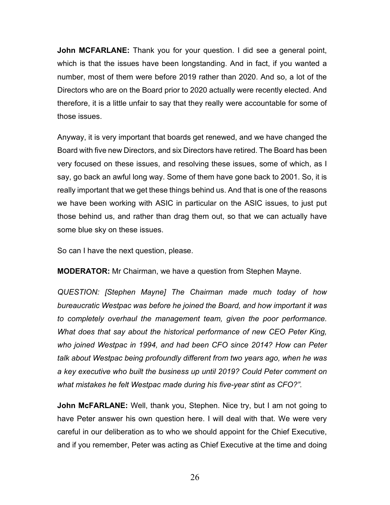**John MCFARLANE:** Thank you for your question. I did see a general point, which is that the issues have been longstanding. And in fact, if you wanted a number, most of them were before 2019 rather than 2020. And so, a lot of the Directors who are on the Board prior to 2020 actually were recently elected. And therefore, it is a little unfair to say that they really were accountable for some of those issues.

Anyway, it is very important that boards get renewed, and we have changed the Board with five new Directors, and six Directors have retired. The Board has been very focused on these issues, and resolving these issues, some of which, as I say, go back an awful long way. Some of them have gone back to 2001. So, it is really important that we get these things behind us. And that is one of the reasons we have been working with ASIC in particular on the ASIC issues, to just put those behind us, and rather than drag them out, so that we can actually have some blue sky on these issues.

So can I have the next question, please.

**MODERATOR:** Mr Chairman, we have a question from Stephen Mayne.

*QUESTION: [Stephen Mayne] The Chairman made much today of how bureaucratic Westpac was before he joined the Board, and how important it was to completely overhaul the management team, given the poor performance. What does that say about the historical performance of new CEO Peter King, who joined Westpac in 1994, and had been CFO since 2014? How can Peter talk about Westpac being profoundly different from two years ago, when he was a key executive who built the business up until 2019? Could Peter comment on what mistakes he felt Westpac made during his five-year stint as CFO?".*

**John McFARLANE:** Well, thank you, Stephen. Nice try, but I am not going to have Peter answer his own question here. I will deal with that. We were very careful in our deliberation as to who we should appoint for the Chief Executive, and if you remember, Peter was acting as Chief Executive at the time and doing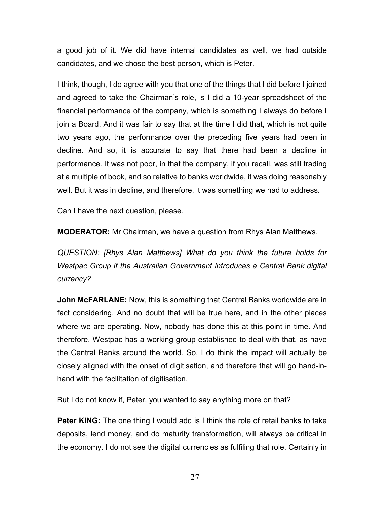a good job of it. We did have internal candidates as well, we had outside candidates, and we chose the best person, which is Peter.

I think, though, I do agree with you that one of the things that I did before I joined and agreed to take the Chairman's role, is I did a 10-year spreadsheet of the financial performance of the company, which is something I always do before I join a Board. And it was fair to say that at the time I did that, which is not quite two years ago, the performance over the preceding five years had been in decline. And so, it is accurate to say that there had been a decline in performance. It was not poor, in that the company, if you recall, was still trading at a multiple of book, and so relative to banks worldwide, it was doing reasonably well. But it was in decline, and therefore, it was something we had to address.

Can I have the next question, please.

**MODERATOR:** Mr Chairman, we have a question from Rhys Alan Matthews.

*QUESTION: [Rhys Alan Matthews] What do you think the future holds for Westpac Group if the Australian Government introduces a Central Bank digital currency?*

**John McFARLANE:** Now, this is something that Central Banks worldwide are in fact considering. And no doubt that will be true here, and in the other places where we are operating. Now, nobody has done this at this point in time. And therefore, Westpac has a working group established to deal with that, as have the Central Banks around the world. So, I do think the impact will actually be closely aligned with the onset of digitisation, and therefore that will go hand-inhand with the facilitation of digitisation.

But I do not know if, Peter, you wanted to say anything more on that?

**Peter KING:** The one thing I would add is I think the role of retail banks to take deposits, lend money, and do maturity transformation, will always be critical in the economy. I do not see the digital currencies as fulfiling that role. Certainly in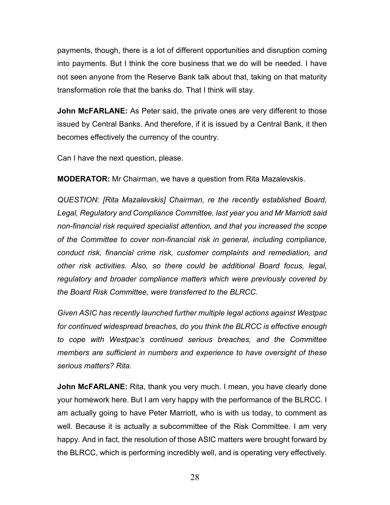payments, though, there is a lot of different opportunities and disruption coming into payments. But I think the core business that we do will be needed. I have not seen anyone from the Reserve Bank talk about that, taking on that maturity transformation role that the banks do. That I think will stay.

**John McFARLANE:** As Peter said, the private ones are very different to those issued by Central Banks. And therefore, if it is issued by a Central Bank, it then becomes effectively the currency of the country.

Can I have the next question, please.

**MODERATOR:** Mr Chairman, we have a question from Rita Mazalevskis.

*QUESTION: [Rita Mazalevskis] Chairman, re the recently established Board, Legal, Regulatory and Compliance Committee, last year you and Mr Marriott said non-financial risk required specialist attention, and that you increased the scope of the Committee to cover non-financial risk in general, including compliance, conduct risk, financial crime risk, customer complaints and remediation, and other risk activities. Also, so there could be additional Board focus, legal, regulatory and broader compliance matters which were previously covered by the Board Risk Committee, were transferred to the BLRCC.* 

*Given ASIC has recently launched further multiple legal actions against Westpac for continued widespread breaches, do you think the BLRCC is effective enough to cope with Westpac's continued serious breaches, and the Committee members are sufficient in numbers and experience to have oversight of these serious matters? Rita.*

**John McFARLANE:** Rita, thank you very much. I mean, you have clearly done your homework here. But I am very happy with the performance of the BLRCC. I am actually going to have Peter Marriott, who is with us today, to comment as well. Because it is actually a subcommittee of the Risk Committee. I am very happy. And in fact, the resolution of those ASIC matters were brought forward by the BLRCC, which is performing incredibly well, and is operating very effectively.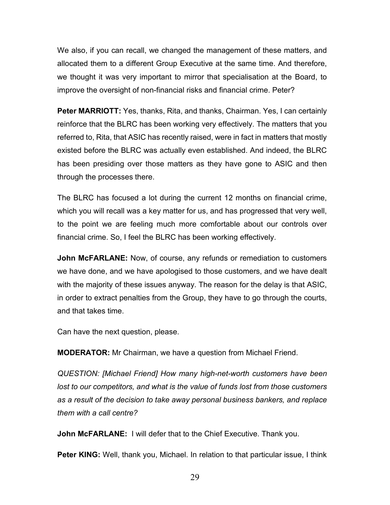We also, if you can recall, we changed the management of these matters, and allocated them to a different Group Executive at the same time. And therefore, we thought it was very important to mirror that specialisation at the Board, to improve the oversight of non-financial risks and financial crime. Peter?

**Peter MARRIOTT:** Yes, thanks, Rita, and thanks, Chairman. Yes, I can certainly reinforce that the BLRC has been working very effectively. The matters that you referred to, Rita, that ASIC has recently raised, were in fact in matters that mostly existed before the BLRC was actually even established. And indeed, the BLRC has been presiding over those matters as they have gone to ASIC and then through the processes there.

The BLRC has focused a lot during the current 12 months on financial crime, which you will recall was a key matter for us, and has progressed that very well, to the point we are feeling much more comfortable about our controls over financial crime. So, I feel the BLRC has been working effectively.

**John McFARLANE:** Now, of course, any refunds or remediation to customers we have done, and we have apologised to those customers, and we have dealt with the majority of these issues anyway. The reason for the delay is that ASIC, in order to extract penalties from the Group, they have to go through the courts, and that takes time.

Can have the next question, please.

**MODERATOR:** Mr Chairman, we have a question from Michael Friend.

*QUESTION: [Michael Friend] How many high-net-worth customers have been lost to our competitors, and what is the value of funds lost from those customers as a result of the decision to take away personal business bankers, and replace them with a call centre?*

**John McFARLANE:** I will defer that to the Chief Executive. Thank you.

**Peter KING:** Well, thank you, Michael. In relation to that particular issue, I think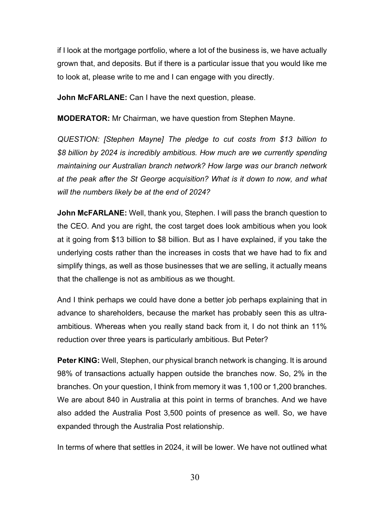if I look at the mortgage portfolio, where a lot of the business is, we have actually grown that, and deposits. But if there is a particular issue that you would like me to look at, please write to me and I can engage with you directly.

**John McFARLANE:** Can I have the next question, please.

**MODERATOR:** Mr Chairman, we have question from Stephen Mayne.

*QUESTION: [Stephen Mayne] The pledge to cut costs from \$13 billion to \$8 billion by 2024 is incredibly ambitious. How much are we currently spending maintaining our Australian branch network? How large was our branch network at the peak after the St George acquisition? What is it down to now, and what will the numbers likely be at the end of 2024?*

**John McFARLANE:** Well, thank you, Stephen. I will pass the branch question to the CEO. And you are right, the cost target does look ambitious when you look at it going from \$13 billion to \$8 billion. But as I have explained, if you take the underlying costs rather than the increases in costs that we have had to fix and simplify things, as well as those businesses that we are selling, it actually means that the challenge is not as ambitious as we thought.

And I think perhaps we could have done a better job perhaps explaining that in advance to shareholders, because the market has probably seen this as ultraambitious. Whereas when you really stand back from it, I do not think an 11% reduction over three years is particularly ambitious. But Peter?

**Peter KING:** Well, Stephen, our physical branch network is changing. It is around 98% of transactions actually happen outside the branches now. So, 2% in the branches. On your question, I think from memory it was 1,100 or 1,200 branches. We are about 840 in Australia at this point in terms of branches. And we have also added the Australia Post 3,500 points of presence as well. So, we have expanded through the Australia Post relationship.

In terms of where that settles in 2024, it will be lower. We have not outlined what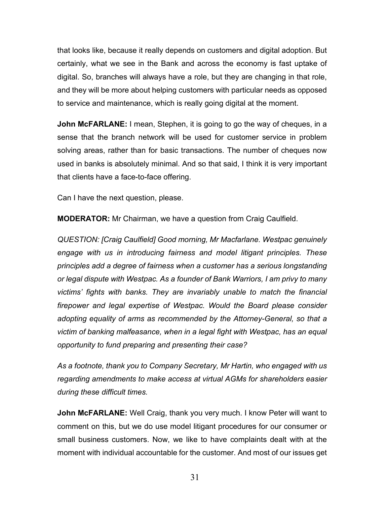that looks like, because it really depends on customers and digital adoption. But certainly, what we see in the Bank and across the economy is fast uptake of digital. So, branches will always have a role, but they are changing in that role, and they will be more about helping customers with particular needs as opposed to service and maintenance, which is really going digital at the moment.

**John McFARLANE:** I mean, Stephen, it is going to go the way of cheques, in a sense that the branch network will be used for customer service in problem solving areas, rather than for basic transactions. The number of cheques now used in banks is absolutely minimal. And so that said, I think it is very important that clients have a face-to-face offering.

Can I have the next question, please.

**MODERATOR:** Mr Chairman, we have a question from Craig Caulfield.

*QUESTION: [Craig Caulfield] Good morning, Mr Macfarlane. Westpac genuinely engage with us in introducing fairness and model litigant principles. These principles add a degree of fairness when a customer has a serious longstanding or legal dispute with Westpac. As a founder of Bank Warriors, I am privy to many victims' fights with banks. They are invariably unable to match the financial firepower and legal expertise of Westpac. Would the Board please consider adopting equality of arms as recommended by the Attorney-General, so that a victim of banking malfeasance, when in a legal fight with Westpac, has an equal opportunity to fund preparing and presenting their case?* 

*As a footnote, thank you to Company Secretary, Mr Hartin, who engaged with us regarding amendments to make access at virtual AGMs for shareholders easier during these difficult times.* 

**John McFARLANE:** Well Craig, thank you very much. I know Peter will want to comment on this, but we do use model litigant procedures for our consumer or small business customers. Now, we like to have complaints dealt with at the moment with individual accountable for the customer. And most of our issues get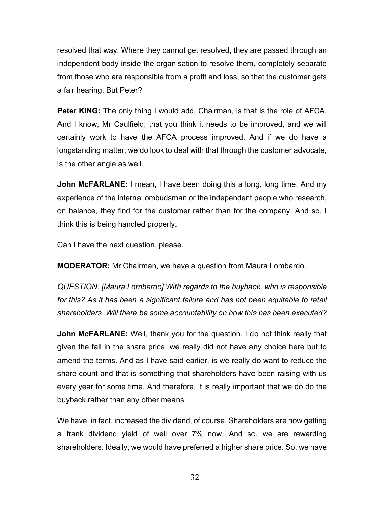resolved that way. Where they cannot get resolved, they are passed through an independent body inside the organisation to resolve them, completely separate from those who are responsible from a profit and loss, so that the customer gets a fair hearing. But Peter?

**Peter KING:** The only thing I would add, Chairman, is that is the role of AFCA. And I know, Mr Caulfield, that you think it needs to be improved, and we will certainly work to have the AFCA process improved. And if we do have a longstanding matter, we do look to deal with that through the customer advocate, is the other angle as well.

**John McFARLANE:** I mean, I have been doing this a long, long time. And my experience of the internal ombudsman or the independent people who research, on balance, they find for the customer rather than for the company. And so, I think this is being handled properly.

Can I have the next question, please.

**MODERATOR:** Mr Chairman, we have a question from Maura Lombardo.

*QUESTION: [Maura Lombardo] With regards to the buyback, who is responsible*  for this? As it has been a significant failure and has not been equitable to retail *shareholders. Will there be some accountability on how this has been executed?*

**John McFARLANE:** Well, thank you for the question. I do not think really that given the fall in the share price, we really did not have any choice here but to amend the terms. And as I have said earlier, is we really do want to reduce the share count and that is something that shareholders have been raising with us every year for some time. And therefore, it is really important that we do do the buyback rather than any other means.

We have, in fact, increased the dividend, of course. Shareholders are now getting a frank dividend yield of well over 7% now. And so, we are rewarding shareholders. Ideally, we would have preferred a higher share price. So, we have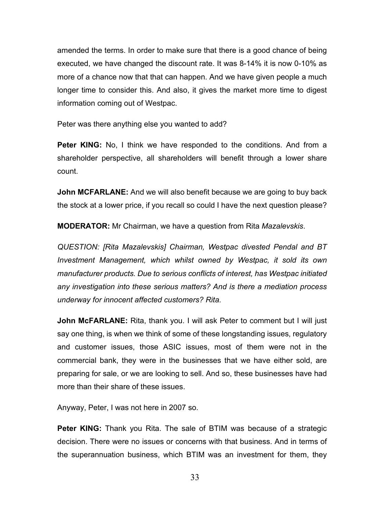amended the terms. In order to make sure that there is a good chance of being executed, we have changed the discount rate. It was 8-14% it is now 0-10% as more of a chance now that that can happen. And we have given people a much longer time to consider this. And also, it gives the market more time to digest information coming out of Westpac.

Peter was there anything else you wanted to add?

**Peter KING:** No, I think we have responded to the conditions. And from a shareholder perspective, all shareholders will benefit through a lower share count.

**John MCFARLANE:** And we will also benefit because we are going to buy back the stock at a lower price, if you recall so could I have the next question please?

**MODERATOR:** Mr Chairman, we have a question from Rita *Mazalevskis*.

*QUESTION: [Rita Mazalevskis] Chairman, Westpac divested Pendal and BT Investment Management, which whilst owned by Westpac, it sold its own manufacturer products. Due to serious conflicts of interest, has Westpac initiated any investigation into these serious matters? And is there a mediation process underway for innocent affected customers? Rita.*

**John McFARLANE:** Rita, thank you. I will ask Peter to comment but I will just say one thing, is when we think of some of these longstanding issues, regulatory and customer issues, those ASIC issues, most of them were not in the commercial bank, they were in the businesses that we have either sold, are preparing for sale, or we are looking to sell. And so, these businesses have had more than their share of these issues.

Anyway, Peter, I was not here in 2007 so.

**Peter KING:** Thank you Rita. The sale of BTIM was because of a strategic decision. There were no issues or concerns with that business. And in terms of the superannuation business, which BTIM was an investment for them, they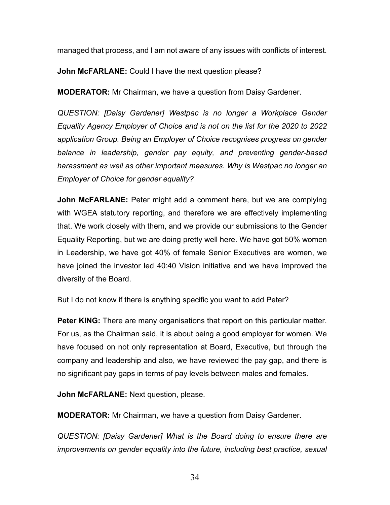managed that process, and I am not aware of any issues with conflicts of interest.

**John McFARLANE:** Could I have the next question please?

**MODERATOR:** Mr Chairman, we have a question from Daisy Gardener.

*QUESTION: [Daisy Gardener] Westpac is no longer a Workplace Gender Equality Agency Employer of Choice and is not on the list for the 2020 to 2022 application Group. Being an Employer of Choice recognises progress on gender balance in leadership, gender pay equity, and preventing gender-based harassment as well as other important measures. Why is Westpac no longer an Employer of Choice for gender equality?*

**John McFARLANE:** Peter might add a comment here, but we are complying with WGEA statutory reporting, and therefore we are effectively implementing that. We work closely with them, and we provide our submissions to the Gender Equality Reporting, but we are doing pretty well here. We have got 50% women in Leadership, we have got 40% of female Senior Executives are women, we have joined the investor led 40:40 Vision initiative and we have improved the diversity of the Board.

But I do not know if there is anything specific you want to add Peter?

**Peter KING:** There are many organisations that report on this particular matter. For us, as the Chairman said, it is about being a good employer for women. We have focused on not only representation at Board, Executive, but through the company and leadership and also, we have reviewed the pay gap, and there is no significant pay gaps in terms of pay levels between males and females.

**John McFARLANE:** Next question, please.

**MODERATOR:** Mr Chairman, we have a question from Daisy Gardener.

*QUESTION: [Daisy Gardener] What is the Board doing to ensure there are improvements on gender equality into the future, including best practice, sexual*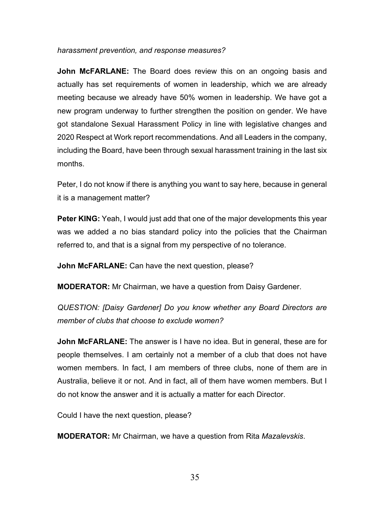#### *harassment prevention, and response measures?*

**John McFARLANE:** The Board does review this on an ongoing basis and actually has set requirements of women in leadership, which we are already meeting because we already have 50% women in leadership. We have got a new program underway to further strengthen the position on gender. We have got standalone Sexual Harassment Policy in line with legislative changes and 2020 Respect at Work report recommendations. And all Leaders in the company, including the Board, have been through sexual harassment training in the last six months.

Peter, I do not know if there is anything you want to say here, because in general it is a management matter?

**Peter KING:** Yeah, I would just add that one of the major developments this year was we added a no bias standard policy into the policies that the Chairman referred to, and that is a signal from my perspective of no tolerance.

**John McFARLANE:** Can have the next question, please?

**MODERATOR:** Mr Chairman, we have a question from Daisy Gardener.

*QUESTION: [Daisy Gardener] Do you know whether any Board Directors are member of clubs that choose to exclude women?*

**John McFARLANE:** The answer is I have no idea. But in general, these are for people themselves. I am certainly not a member of a club that does not have women members. In fact, I am members of three clubs, none of them are in Australia, believe it or not. And in fact, all of them have women members. But I do not know the answer and it is actually a matter for each Director.

Could I have the next question, please?

**MODERATOR:** Mr Chairman, we have a question from Rita *Mazalevskis*.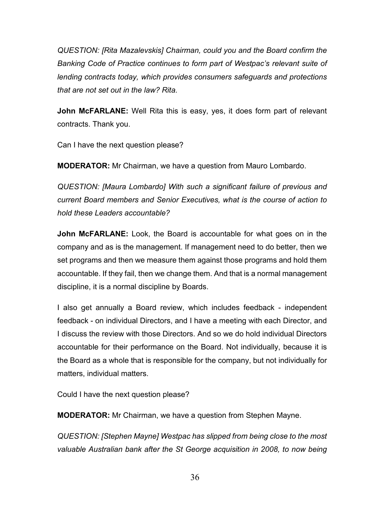*QUESTION: [Rita Mazalevskis] Chairman, could you and the Board confirm the Banking Code of Practice continues to form part of Westpac's relevant suite of lending contracts today, which provides consumers safeguards and protections that are not set out in the law? Rita.*

**John McFARLANE:** Well Rita this is easy, yes, it does form part of relevant contracts. Thank you.

Can I have the next question please?

**MODERATOR:** Mr Chairman, we have a question from Mauro Lombardo.

*QUESTION: [Maura Lombardo] With such a significant failure of previous and current Board members and Senior Executives, what is the course of action to hold these Leaders accountable?*

**John McFARLANE:** Look, the Board is accountable for what goes on in the company and as is the management. If management need to do better, then we set programs and then we measure them against those programs and hold them accountable. If they fail, then we change them. And that is a normal management discipline, it is a normal discipline by Boards.

I also get annually a Board review, which includes feedback - independent feedback - on individual Directors, and I have a meeting with each Director, and I discuss the review with those Directors. And so we do hold individual Directors accountable for their performance on the Board. Not individually, because it is the Board as a whole that is responsible for the company, but not individually for matters, individual matters.

Could I have the next question please?

**MODERATOR:** Mr Chairman, we have a question from Stephen Mayne.

*QUESTION: [Stephen Mayne] Westpac has slipped from being close to the most valuable Australian bank after the St George acquisition in 2008, to now being*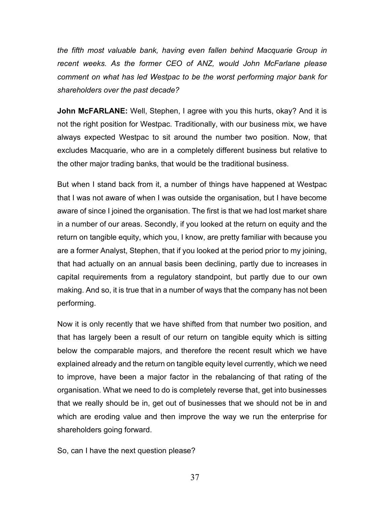*the fifth most valuable bank, having even fallen behind Macquarie Group in recent weeks. As the former CEO of ANZ, would John McFarlane please comment on what has led Westpac to be the worst performing major bank for shareholders over the past decade?*

**John McFARLANE:** Well, Stephen, I agree with you this hurts, okay? And it is not the right position for Westpac. Traditionally, with our business mix, we have always expected Westpac to sit around the number two position. Now, that excludes Macquarie, who are in a completely different business but relative to the other major trading banks, that would be the traditional business.

But when I stand back from it, a number of things have happened at Westpac that I was not aware of when I was outside the organisation, but I have become aware of since I joined the organisation. The first is that we had lost market share in a number of our areas. Secondly, if you looked at the return on equity and the return on tangible equity, which you, I know, are pretty familiar with because you are a former Analyst, Stephen, that if you looked at the period prior to my joining, that had actually on an annual basis been declining, partly due to increases in capital requirements from a regulatory standpoint, but partly due to our own making. And so, it is true that in a number of ways that the company has not been performing.

Now it is only recently that we have shifted from that number two position, and that has largely been a result of our return on tangible equity which is sitting below the comparable majors, and therefore the recent result which we have explained already and the return on tangible equity level currently, which we need to improve, have been a major factor in the rebalancing of that rating of the organisation. What we need to do is completely reverse that, get into businesses that we really should be in, get out of businesses that we should not be in and which are eroding value and then improve the way we run the enterprise for shareholders going forward.

So, can I have the next question please?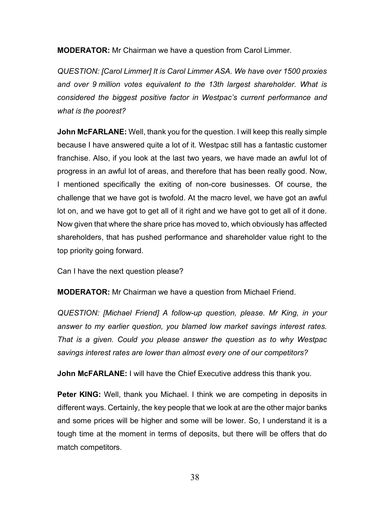**MODERATOR:** Mr Chairman we have a question from Carol Limmer.

*QUESTION: [Carol Limmer] It is Carol Limmer ASA. We have over 1500 proxies and over 9 million votes equivalent to the 13th largest shareholder. What is considered the biggest positive factor in Westpac's current performance and what is the poorest?*

**John McFARLANE:** Well, thank you for the question. I will keep this really simple because I have answered quite a lot of it. Westpac still has a fantastic customer franchise. Also, if you look at the last two years, we have made an awful lot of progress in an awful lot of areas, and therefore that has been really good. Now, I mentioned specifically the exiting of non-core businesses. Of course, the challenge that we have got is twofold. At the macro level, we have got an awful lot on, and we have got to get all of it right and we have got to get all of it done. Now given that where the share price has moved to, which obviously has affected shareholders, that has pushed performance and shareholder value right to the top priority going forward.

Can I have the next question please?

**MODERATOR:** Mr Chairman we have a question from Michael Friend.

*QUESTION: [Michael Friend] A follow-up question, please. Mr King, in your answer to my earlier question, you blamed low market savings interest rates. That is a given. Could you please answer the question as to why Westpac savings interest rates are lower than almost every one of our competitors?*

**John McFARLANE:** I will have the Chief Executive address this thank you.

**Peter KING:** Well, thank you Michael. I think we are competing in deposits in different ways. Certainly, the key people that we look at are the other major banks and some prices will be higher and some will be lower. So, I understand it is a tough time at the moment in terms of deposits, but there will be offers that do match competitors.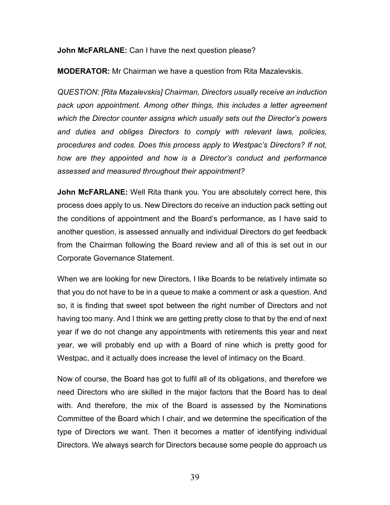**John McFARLANE:** Can I have the next question please?

**MODERATOR:** Mr Chairman we have a question from Rita Mazalevskis.

*QUESTION: [Rita Mazalevskis] Chairman, Directors usually receive an induction pack upon appointment. Among other things, this includes a letter agreement which the Director counter assigns which usually sets out the Director's powers and duties and obliges Directors to comply with relevant laws, policies, procedures and codes. Does this process apply to Westpac's Directors? If not, how are they appointed and how is a Director's conduct and performance assessed and measured throughout their appointment?*

**John McFARLANE:** Well Rita thank you. You are absolutely correct here, this process does apply to us. New Directors do receive an induction pack setting out the conditions of appointment and the Board's performance, as I have said to another question, is assessed annually and individual Directors do get feedback from the Chairman following the Board review and all of this is set out in our Corporate Governance Statement.

When we are looking for new Directors, I like Boards to be relatively intimate so that you do not have to be in a queue to make a comment or ask a question. And so, it is finding that sweet spot between the right number of Directors and not having too many. And I think we are getting pretty close to that by the end of next year if we do not change any appointments with retirements this year and next year, we will probably end up with a Board of nine which is pretty good for Westpac, and it actually does increase the level of intimacy on the Board.

Now of course, the Board has got to fulfil all of its obligations, and therefore we need Directors who are skilled in the major factors that the Board has to deal with. And therefore, the mix of the Board is assessed by the Nominations Committee of the Board which I chair, and we determine the specification of the type of Directors we want. Then it becomes a matter of identifying individual Directors. We always search for Directors because some people do approach us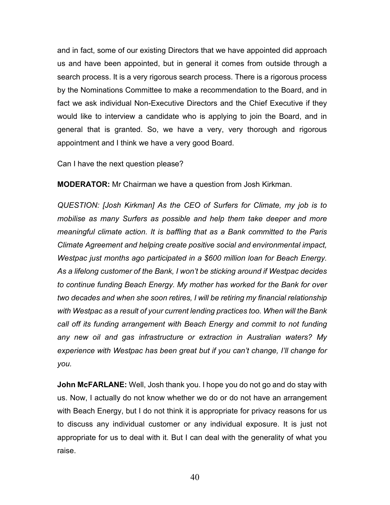and in fact, some of our existing Directors that we have appointed did approach us and have been appointed, but in general it comes from outside through a search process. It is a very rigorous search process. There is a rigorous process by the Nominations Committee to make a recommendation to the Board, and in fact we ask individual Non-Executive Directors and the Chief Executive if they would like to interview a candidate who is applying to join the Board, and in general that is granted. So, we have a very, very thorough and rigorous appointment and I think we have a very good Board.

Can I have the next question please?

**MODERATOR:** Mr Chairman we have a question from Josh Kirkman.

*QUESTION: [Josh Kirkman] As the CEO of Surfers for Climate, my job is to mobilise as many Surfers as possible and help them take deeper and more meaningful climate action. It is baffling that as a Bank committed to the Paris Climate Agreement and helping create positive social and environmental impact, Westpac just months ago participated in a \$600 million loan for Beach Energy. As a lifelong customer of the Bank, I won't be sticking around if Westpac decides to continue funding Beach Energy. My mother has worked for the Bank for over two decades and when she soon retires, I will be retiring my financial relationship with Westpac as a result of your current lending practices too. When will the Bank call off its funding arrangement with Beach Energy and commit to not funding any new oil and gas infrastructure or extraction in Australian waters? My experience with Westpac has been great but if you can't change, I'll change for you.*

**John McFARLANE:** Well, Josh thank you. I hope you do not go and do stay with us. Now, I actually do not know whether we do or do not have an arrangement with Beach Energy, but I do not think it is appropriate for privacy reasons for us to discuss any individual customer or any individual exposure. It is just not appropriate for us to deal with it. But I can deal with the generality of what you raise.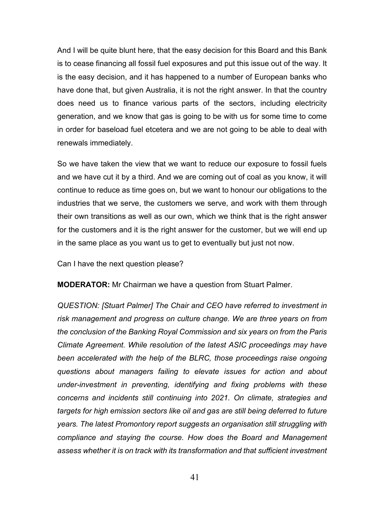And I will be quite blunt here, that the easy decision for this Board and this Bank is to cease financing all fossil fuel exposures and put this issue out of the way. It is the easy decision, and it has happened to a number of European banks who have done that, but given Australia, it is not the right answer. In that the country does need us to finance various parts of the sectors, including electricity generation, and we know that gas is going to be with us for some time to come in order for baseload fuel etcetera and we are not going to be able to deal with renewals immediately.

So we have taken the view that we want to reduce our exposure to fossil fuels and we have cut it by a third. And we are coming out of coal as you know, it will continue to reduce as time goes on, but we want to honour our obligations to the industries that we serve, the customers we serve, and work with them through their own transitions as well as our own, which we think that is the right answer for the customers and it is the right answer for the customer, but we will end up in the same place as you want us to get to eventually but just not now.

Can I have the next question please?

**MODERATOR:** Mr Chairman we have a question from Stuart Palmer.

*QUESTION: [Stuart Palmer] The Chair and CEO have referred to investment in risk management and progress on culture change. We are three years on from the conclusion of the Banking Royal Commission and six years on from the Paris Climate Agreement. While resolution of the latest ASIC proceedings may have*  been accelerated with the help of the BLRC, those proceedings raise ongoing *questions about managers failing to elevate issues for action and about under-investment in preventing, identifying and fixing problems with these concerns and incidents still continuing into 2021. On climate, strategies and targets for high emission sectors like oil and gas are still being deferred to future years. The latest Promontory report suggests an organisation still struggling with compliance and staying the course. How does the Board and Management assess whether it is on track with its transformation and that sufficient investment*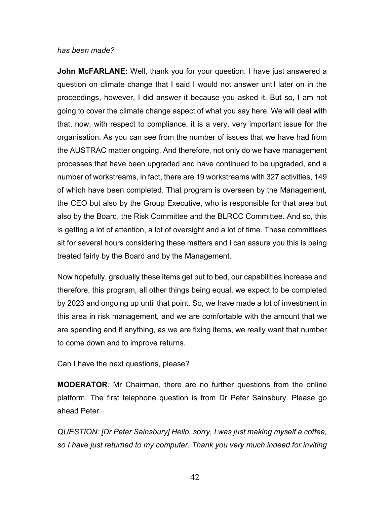#### *has been made?*

**John McFARLANE:** Well, thank you for your question. I have just answered a question on climate change that I said I would not answer until later on in the proceedings, however, I did answer it because you asked it. But so, I am not going to cover the climate change aspect of what you say here. We will deal with that, now, with respect to compliance, it is a very, very important issue for the organisation. As you can see from the number of issues that we have had from the AUSTRAC matter ongoing. And therefore, not only do we have management processes that have been upgraded and have continued to be upgraded, and a number of workstreams, in fact, there are 19 workstreams with 327 activities, 149 of which have been completed. That program is overseen by the Management, the CEO but also by the Group Executive, who is responsible for that area but also by the Board, the Risk Committee and the BLRCC Committee. And so, this is getting a lot of attention, a lot of oversight and a lot of time. These committees sit for several hours considering these matters and I can assure you this is being treated fairly by the Board and by the Management.

Now hopefully, gradually these items get put to bed, our capabilities increase and therefore, this program, all other things being equal, we expect to be completed by 2023 and ongoing up until that point. So, we have made a lot of investment in this area in risk management, and we are comfortable with the amount that we are spending and if anything, as we are fixing items, we really want that number to come down and to improve returns.

Can I have the next questions, please?

**MODERATOR***:* Mr Chairman, there are no further questions from the online platform. The first telephone question is from Dr Peter Sainsbury. Please go ahead Peter.

*QUESTION: [Dr Peter Sainsbury] Hello, sorry, I was just making myself a coffee, so I have just returned to my computer. Thank you very much indeed for inviting*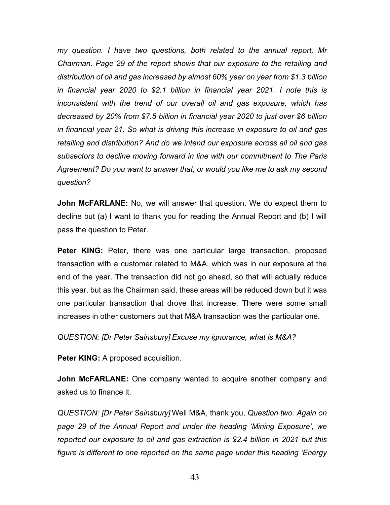*my question. I have two questions, both related to the annual report, Mr Chairman. Page 29 of the report shows that our exposure to the retailing and distribution of oil and gas increased by almost 60% year on year from \$1.3 billion in financial year 2020 to \$2.1 billion in financial year 2021. I note this is inconsistent with the trend of our overall oil and gas exposure, which has decreased by 20% from \$7.5 billion in financial year 2020 to just over \$6 billion in financial year 21. So what is driving this increase in exposure to oil and gas retailing and distribution? And do we intend our exposure across all oil and gas subsectors to decline moving forward in line with our commitment to The Paris Agreement? Do you want to answer that, or would you like me to ask my second question?*

**John McFARLANE:** No, we will answer that question. We do expect them to decline but (a) I want to thank you for reading the Annual Report and (b) I will pass the question to Peter.

**Peter KING:** Peter, there was one particular large transaction, proposed transaction with a customer related to M&A, which was in our exposure at the end of the year. The transaction did not go ahead, so that will actually reduce this year, but as the Chairman said, these areas will be reduced down but it was one particular transaction that drove that increase. There were some small increases in other customers but that M&A transaction was the particular one.

*QUESTION: [Dr Peter Sainsbury] Excuse my ignorance, what is M&A?*

**Peter KING:** A proposed acquisition.

**John McFARLANE:** One company wanted to acquire another company and asked us to finance it.

*QUESTION: [Dr Peter Sainsbury]* Well M&A, thank you, *Question two. Again on page 29 of the Annual Report and under the heading 'Mining Exposure', we reported our exposure to oil and gas extraction is \$2.4 billion in 2021 but this figure is different to one reported on the same page under this heading 'Energy*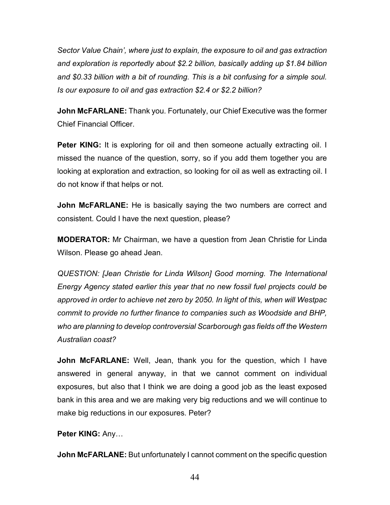*Sector Value Chain', where just to explain, the exposure to oil and gas extraction and exploration is reportedly about \$2.2 billion, basically adding up \$1.84 billion and \$0.33 billion with a bit of rounding. This is a bit confusing for a simple soul. Is our exposure to oil and gas extraction \$2.4 or \$2.2 billion?*

**John McFARLANE:** Thank you. Fortunately, our Chief Executive was the former Chief Financial Officer.

**Peter KING:** It is exploring for oil and then someone actually extracting oil. I missed the nuance of the question, sorry, so if you add them together you are looking at exploration and extraction, so looking for oil as well as extracting oil. I do not know if that helps or not.

**John McFARLANE:** He is basically saying the two numbers are correct and consistent. Could I have the next question, please?

**MODERATOR:** Mr Chairman, we have a question from Jean Christie for Linda Wilson. Please go ahead Jean.

*QUESTION: [Jean Christie for Linda Wilson] Good morning. The International Energy Agency stated earlier this year that no new fossil fuel projects could be approved in order to achieve net zero by 2050. In light of this, when will Westpac commit to provide no further finance to companies such as Woodside and BHP, who are planning to develop controversial Scarborough gas fields off the Western Australian coast?*

**John McFARLANE:** Well, Jean, thank you for the question, which I have answered in general anyway, in that we cannot comment on individual exposures, but also that I think we are doing a good job as the least exposed bank in this area and we are making very big reductions and we will continue to make big reductions in our exposures. Peter?

# **Peter KING:** Any…

**John McFARLANE:** But unfortunately I cannot comment on the specific question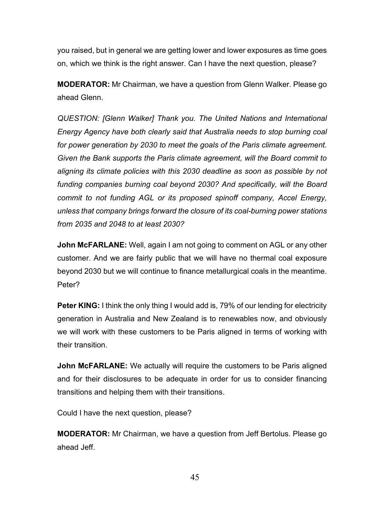you raised, but in general we are getting lower and lower exposures as time goes on, which we think is the right answer. Can I have the next question, please?

**MODERATOR:** Mr Chairman, we have a question from Glenn Walker. Please go ahead Glenn.

*QUESTION: [Glenn Walker] Thank you. The United Nations and International Energy Agency have both clearly said that Australia needs to stop burning coal for power generation by 2030 to meet the goals of the Paris climate agreement. Given the Bank supports the Paris climate agreement, will the Board commit to aligning its climate policies with this 2030 deadline as soon as possible by not funding companies burning coal beyond 2030? And specifically, will the Board commit to not funding AGL or its proposed spinoff company, Accel Energy, unless that company brings forward the closure of its coal-burning power stations from 2035 and 2048 to at least 2030?*

**John McFARLANE:** Well, again I am not going to comment on AGL or any other customer. And we are fairly public that we will have no thermal coal exposure beyond 2030 but we will continue to finance metallurgical coals in the meantime. Peter?

**Peter KING:** I think the only thing I would add is, 79% of our lending for electricity generation in Australia and New Zealand is to renewables now, and obviously we will work with these customers to be Paris aligned in terms of working with their transition.

**John McFARLANE:** We actually will require the customers to be Paris aligned and for their disclosures to be adequate in order for us to consider financing transitions and helping them with their transitions.

Could I have the next question, please?

**MODERATOR:** Mr Chairman, we have a question from Jeff Bertolus. Please go ahead Jeff.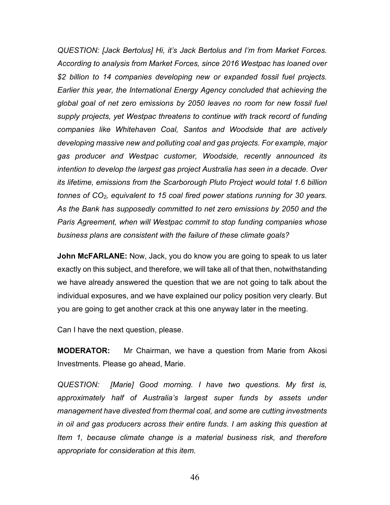*QUESTION: [Jack Bertolus] Hi, it's Jack Bertolus and I'm from Market Forces. According to analysis from Market Forces, since 2016 Westpac has loaned over \$2 billion to 14 companies developing new or expanded fossil fuel projects. Earlier this year, the International Energy Agency concluded that achieving the global goal of net zero emissions by 2050 leaves no room for new fossil fuel supply projects, yet Westpac threatens to continue with track record of funding companies like Whitehaven Coal, Santos and Woodside that are actively developing massive new and polluting coal and gas projects. For example, major gas producer and Westpac customer, Woodside, recently announced its intention to develop the largest gas project Australia has seen in a decade. Over its lifetime, emissions from the Scarborough Pluto Project would total 1.6 billion tonnes of CO2, equivalent to 15 coal fired power stations running for 30 years. As the Bank has supposedly committed to net zero emissions by 2050 and the Paris Agreement, when will Westpac commit to stop funding companies whose business plans are consistent with the failure of these climate goals?*

**John McFARLANE:** Now, Jack, you do know you are going to speak to us later exactly on this subject, and therefore, we will take all of that then, notwithstanding we have already answered the question that we are not going to talk about the individual exposures, and we have explained our policy position very clearly. But you are going to get another crack at this one anyway later in the meeting.

Can I have the next question, please.

**MODERATOR:** Mr Chairman, we have a question from Marie from Akosi Investments. Please go ahead, Marie.

*QUESTION: [Marie] Good morning. I have two questions. My first is, approximately half of Australia's largest super funds by assets under management have divested from thermal coal, and some are cutting investments in oil and gas producers across their entire funds. I am asking this question at Item 1, because climate change is a material business risk, and therefore appropriate for consideration at this item.*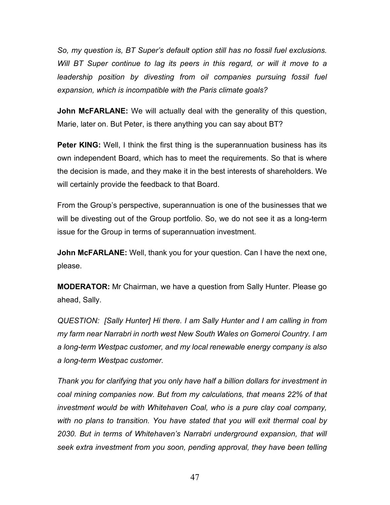*So, my question is, BT Super's default option still has no fossil fuel exclusions. Will BT Super continue to lag its peers in this regard, or will it move to a*  leadership position by divesting from oil companies pursuing fossil fuel *expansion, which is incompatible with the Paris climate goals?*

**John McFARLANE:** We will actually deal with the generality of this question, Marie, later on. But Peter, is there anything you can say about BT?

**Peter KING:** Well, I think the first thing is the superannuation business has its own independent Board, which has to meet the requirements. So that is where the decision is made, and they make it in the best interests of shareholders. We will certainly provide the feedback to that Board.

From the Group's perspective, superannuation is one of the businesses that we will be divesting out of the Group portfolio. So, we do not see it as a long-term issue for the Group in terms of superannuation investment.

**John McFARLANE:** Well, thank you for your question. Can I have the next one, please.

**MODERATOR:** Mr Chairman, we have a question from Sally Hunter. Please go ahead, Sally.

*QUESTION: [Sally Hunter] Hi there. I am Sally Hunter and I am calling in from my farm near Narrabri in north west New South Wales on Gomeroi Country. I am a long-term Westpac customer, and my local renewable energy company is also a long-term Westpac customer.* 

*Thank you for clarifying that you only have half a billion dollars for investment in coal mining companies now. But from my calculations, that means 22% of that investment would be with Whitehaven Coal, who is a pure clay coal company, with no plans to transition. You have stated that you will exit thermal coal by 2030. But in terms of Whitehaven's Narrabri underground expansion, that will seek extra investment from you soon, pending approval, they have been telling*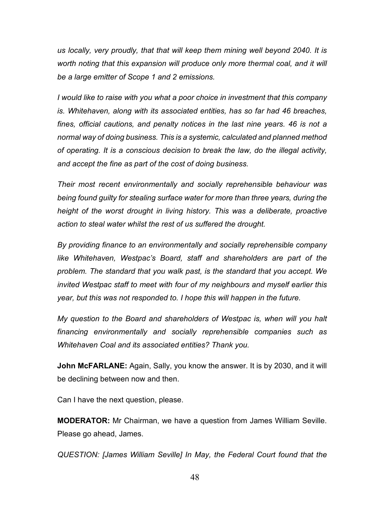*us locally, very proudly, that that will keep them mining well beyond 2040. It is worth noting that this expansion will produce only more thermal coal, and it will be a large emitter of Scope 1 and 2 emissions.* 

*I would like to raise with you what a poor choice in investment that this company is. Whitehaven, along with its associated entities, has so far had 46 breaches, fines, official cautions, and penalty notices in the last nine years. 46 is not a normal way of doing business. This is a systemic, calculated and planned method of operating. It is a conscious decision to break the law, do the illegal activity, and accept the fine as part of the cost of doing business.* 

*Their most recent environmentally and socially reprehensible behaviour was being found guilty for stealing surface water for more than three years, during the height of the worst drought in living history. This was a deliberate, proactive action to steal water whilst the rest of us suffered the drought.*

*By providing finance to an environmentally and socially reprehensible company like Whitehaven, Westpac's Board, staff and shareholders are part of the problem. The standard that you walk past, is the standard that you accept. We invited Westpac staff to meet with four of my neighbours and myself earlier this year, but this was not responded to. I hope this will happen in the future.* 

*My question to the Board and shareholders of Westpac is, when will you halt financing environmentally and socially reprehensible companies such as Whitehaven Coal and its associated entities? Thank you.*

**John McFARLANE:** Again, Sally, you know the answer. It is by 2030, and it will be declining between now and then.

Can I have the next question, please.

**MODERATOR:** Mr Chairman, we have a question from James William Seville. Please go ahead, James.

*QUESTION: [James William Seville] In May, the Federal Court found that the*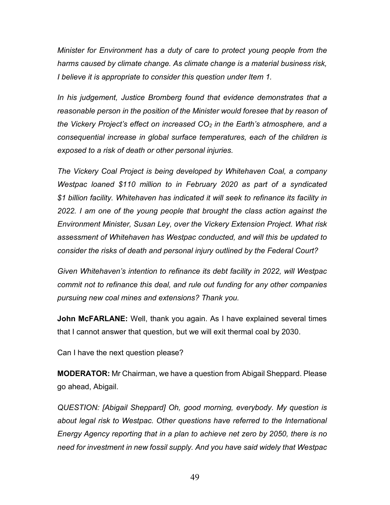*Minister for Environment has a duty of care to protect young people from the harms caused by climate change. As climate change is a material business risk, I believe it is appropriate to consider this question under Item 1.*

In his judgement, Justice Bromberg found that evidence demonstrates that a *reasonable person in the position of the Minister would foresee that by reason of the Vickery Project's effect on increased CO2 in the Earth's atmosphere, and a consequential increase in global surface temperatures, each of the children is exposed to a risk of death or other personal injuries.* 

*The Vickery Coal Project is being developed by Whitehaven Coal, a company Westpac loaned \$110 million to in February 2020 as part of a syndicated \$1 billion facility. Whitehaven has indicated it will seek to refinance its facility in 2022. I am one of the young people that brought the class action against the Environment Minister, Susan Ley, over the Vickery Extension Project. What risk assessment of Whitehaven has Westpac conducted, and will this be updated to consider the risks of death and personal injury outlined by the Federal Court?* 

*Given Whitehaven's intention to refinance its debt facility in 2022, will Westpac commit not to refinance this deal, and rule out funding for any other companies pursuing new coal mines and extensions? Thank you.* 

**John McFARLANE:** Well, thank you again. As I have explained several times that I cannot answer that question, but we will exit thermal coal by 2030.

Can I have the next question please?

**MODERATOR:** Mr Chairman, we have a question from Abigail Sheppard. Please go ahead, Abigail.

*QUESTION: [Abigail Sheppard] Oh, good morning, everybody. My question is about legal risk to Westpac. Other questions have referred to the International Energy Agency reporting that in a plan to achieve net zero by 2050, there is no need for investment in new fossil supply. And you have said widely that Westpac*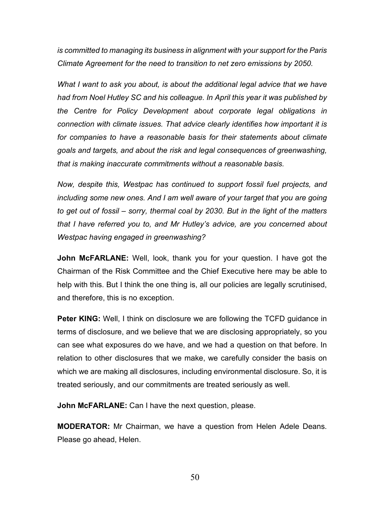*is committed to managing its business in alignment with your support for the Paris Climate Agreement for the need to transition to net zero emissions by 2050.* 

*What I want to ask you about, is about the additional legal advice that we have had from Noel Hutley SC and his colleague. In April this year it was published by the Centre for Policy Development about corporate legal obligations in connection with climate issues. That advice clearly identifies how important it is for companies to have a reasonable basis for their statements about climate goals and targets, and about the risk and legal consequences of greenwashing, that is making inaccurate commitments without a reasonable basis.* 

*Now, despite this, Westpac has continued to support fossil fuel projects, and including some new ones. And I am well aware of your target that you are going to get out of fossil – sorry, thermal coal by 2030. But in the light of the matters that I have referred you to, and Mr Hutley's advice, are you concerned about Westpac having engaged in greenwashing?* 

**John McFARLANE:** Well, look, thank you for your question. I have got the Chairman of the Risk Committee and the Chief Executive here may be able to help with this. But I think the one thing is, all our policies are legally scrutinised, and therefore, this is no exception.

**Peter KING:** Well, I think on disclosure we are following the TCFD guidance in terms of disclosure, and we believe that we are disclosing appropriately, so you can see what exposures do we have, and we had a question on that before. In relation to other disclosures that we make, we carefully consider the basis on which we are making all disclosures, including environmental disclosure. So, it is treated seriously, and our commitments are treated seriously as well.

**John McFARLANE:** Can I have the next question, please.

**MODERATOR:** Mr Chairman, we have a question from Helen Adele Deans. Please go ahead, Helen.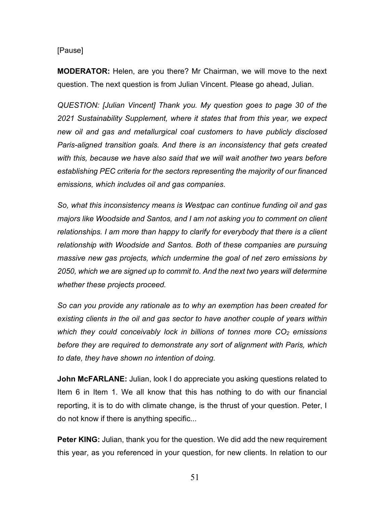### [Pause]

**MODERATOR:** Helen, are you there? Mr Chairman, we will move to the next question. The next question is from Julian Vincent. Please go ahead, Julian.

*QUESTION: [Julian Vincent] Thank you. My question goes to page 30 of the 2021 Sustainability Supplement, where it states that from this year, we expect new oil and gas and metallurgical coal customers to have publicly disclosed Paris-aligned transition goals. And there is an inconsistency that gets created with this, because we have also said that we will wait another two years before establishing PEC criteria for the sectors representing the majority of our financed emissions, which includes oil and gas companies.* 

*So, what this inconsistency means is Westpac can continue funding oil and gas majors like Woodside and Santos, and I am not asking you to comment on client relationships. I am more than happy to clarify for everybody that there is a client relationship with Woodside and Santos. Both of these companies are pursuing massive new gas projects, which undermine the goal of net zero emissions by 2050, which we are signed up to commit to. And the next two years will determine whether these projects proceed.* 

*So can you provide any rationale as to why an exemption has been created for existing clients in the oil and gas sector to have another couple of years within which they could conceivably lock in billions of tonnes more CO2 emissions before they are required to demonstrate any sort of alignment with Paris, which to date, they have shown no intention of doing.* 

**John McFARLANE:** Julian, look I do appreciate you asking questions related to Item 6 in Item 1. We all know that this has nothing to do with our financial reporting, it is to do with climate change, is the thrust of your question. Peter, I do not know if there is anything specific...

**Peter KING:** Julian, thank you for the question. We did add the new requirement this year, as you referenced in your question, for new clients. In relation to our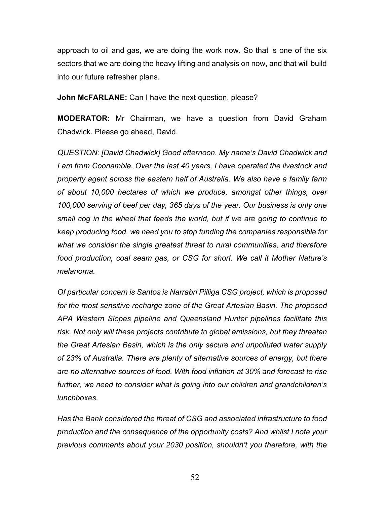approach to oil and gas, we are doing the work now. So that is one of the six sectors that we are doing the heavy lifting and analysis on now, and that will build into our future refresher plans.

**John McFARLANE:** Can I have the next question, please?

**MODERATOR:** Mr Chairman, we have a question from David Graham Chadwick. Please go ahead, David.

*QUESTION: [David Chadwick] Good afternoon. My name's David Chadwick and I am from Coonamble. Over the last 40 years, I have operated the livestock and property agent across the eastern half of Australia. We also have a family farm of about 10,000 hectares of which we produce, amongst other things, over 100,000 serving of beef per day, 365 days of the year. Our business is only one small cog in the wheel that feeds the world, but if we are going to continue to keep producing food, we need you to stop funding the companies responsible for what we consider the single greatest threat to rural communities, and therefore food production, coal seam gas, or CSG for short. We call it Mother Nature's melanoma.* 

*Of particular concern is Santos is Narrabri Pilliga CSG project, which is proposed for the most sensitive recharge zone of the Great Artesian Basin. The proposed APA Western Slopes pipeline and Queensland Hunter pipelines facilitate this*  risk. Not only will these projects contribute to global emissions, but they threaten *the Great Artesian Basin, which is the only secure and unpolluted water supply of 23% of Australia. There are plenty of alternative sources of energy, but there are no alternative sources of food. With food inflation at 30% and forecast to rise further, we need to consider what is going into our children and grandchildren's lunchboxes.* 

*Has the Bank considered the threat of CSG and associated infrastructure to food production and the consequence of the opportunity costs? And whilst I note your previous comments about your 2030 position, shouldn't you therefore, with the*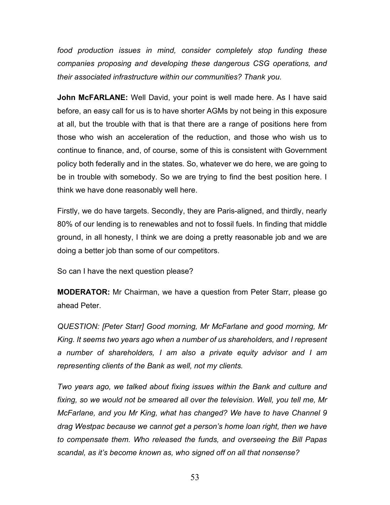*food production issues in mind, consider completely stop funding these companies proposing and developing these dangerous CSG operations, and their associated infrastructure within our communities? Thank you.* 

**John McFARLANE:** Well David, your point is well made here. As I have said before, an easy call for us is to have shorter AGMs by not being in this exposure at all, but the trouble with that is that there are a range of positions here from those who wish an acceleration of the reduction, and those who wish us to continue to finance, and, of course, some of this is consistent with Government policy both federally and in the states. So, whatever we do here, we are going to be in trouble with somebody. So we are trying to find the best position here. I think we have done reasonably well here.

Firstly, we do have targets. Secondly, they are Paris-aligned, and thirdly, nearly 80% of our lending is to renewables and not to fossil fuels. In finding that middle ground, in all honesty, I think we are doing a pretty reasonable job and we are doing a better job than some of our competitors.

So can I have the next question please?

**MODERATOR:** Mr Chairman, we have a question from Peter Starr, please go ahead Peter.

*QUESTION: [Peter Starr] Good morning, Mr McFarlane and good morning, Mr King. It seems two years ago when a number of us shareholders, and I represent a number of shareholders, I am also a private equity advisor and I am representing clients of the Bank as well, not my clients.*

*Two years ago, we talked about fixing issues within the Bank and culture and fixing, so we would not be smeared all over the television. Well, you tell me, Mr McFarlane, and you Mr King, what has changed? We have to have Channel 9 drag Westpac because we cannot get a person's home loan right, then we have to compensate them. Who released the funds, and overseeing the Bill Papas scandal, as it's become known as, who signed off on all that nonsense?*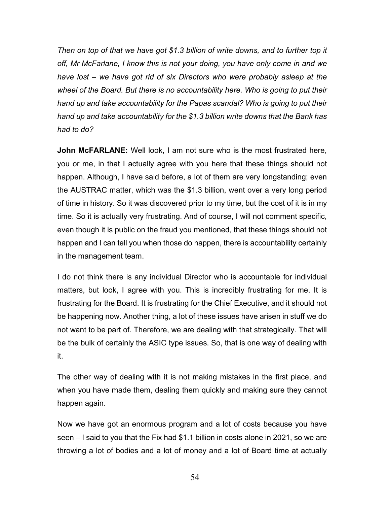*Then on top of that we have got \$1.3 billion of write downs, and to further top it off, Mr McFarlane, I know this is not your doing, you have only come in and we have lost – we have got rid of six Directors who were probably asleep at the*  wheel of the Board. But there is no accountability here. Who is going to put their *hand up and take accountability for the Papas scandal? Who is going to put their hand up and take accountability for the \$1.3 billion write downs that the Bank has had to do?* 

**John McFARLANE:** Well look, I am not sure who is the most frustrated here, you or me, in that I actually agree with you here that these things should not happen. Although, I have said before, a lot of them are very longstanding; even the AUSTRAC matter, which was the \$1.3 billion, went over a very long period of time in history. So it was discovered prior to my time, but the cost of it is in my time. So it is actually very frustrating. And of course, I will not comment specific, even though it is public on the fraud you mentioned, that these things should not happen and I can tell you when those do happen, there is accountability certainly in the management team.

I do not think there is any individual Director who is accountable for individual matters, but look, I agree with you. This is incredibly frustrating for me. It is frustrating for the Board. It is frustrating for the Chief Executive, and it should not be happening now. Another thing, a lot of these issues have arisen in stuff we do not want to be part of. Therefore, we are dealing with that strategically. That will be the bulk of certainly the ASIC type issues. So, that is one way of dealing with it.

The other way of dealing with it is not making mistakes in the first place, and when you have made them, dealing them quickly and making sure they cannot happen again.

Now we have got an enormous program and a lot of costs because you have seen – I said to you that the Fix had \$1.1 billion in costs alone in 2021, so we are throwing a lot of bodies and a lot of money and a lot of Board time at actually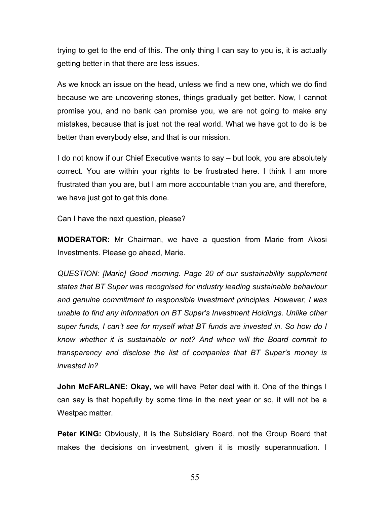trying to get to the end of this. The only thing I can say to you is, it is actually getting better in that there are less issues.

As we knock an issue on the head, unless we find a new one, which we do find because we are uncovering stones, things gradually get better. Now, I cannot promise you, and no bank can promise you, we are not going to make any mistakes, because that is just not the real world. What we have got to do is be better than everybody else, and that is our mission.

I do not know if our Chief Executive wants to say – but look, you are absolutely correct. You are within your rights to be frustrated here. I think I am more frustrated than you are, but I am more accountable than you are, and therefore, we have just got to get this done.

Can I have the next question, please?

**MODERATOR:** Mr Chairman, we have a question from Marie from Akosi Investments. Please go ahead, Marie.

*QUESTION: [Marie] Good morning. Page 20 of our sustainability supplement states that BT Super was recognised for industry leading sustainable behaviour and genuine commitment to responsible investment principles. However, I was unable to find any information on BT Super's Investment Holdings. Unlike other super funds, I can't see for myself what BT funds are invested in. So how do I know whether it is sustainable or not? And when will the Board commit to transparency and disclose the list of companies that BT Super's money is invested in?*

**John McFARLANE: Okay,** we will have Peter deal with it. One of the things I can say is that hopefully by some time in the next year or so, it will not be a Westpac matter.

**Peter KING:** Obviously, it is the Subsidiary Board, not the Group Board that makes the decisions on investment, given it is mostly superannuation. I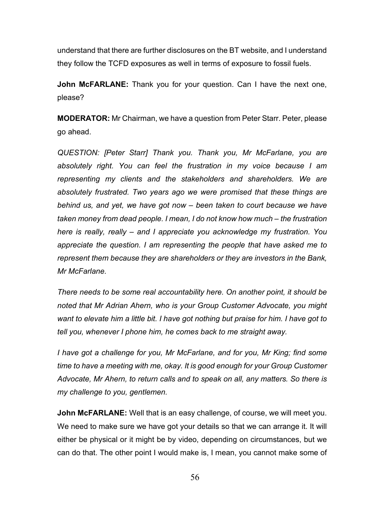understand that there are further disclosures on the BT website, and I understand they follow the TCFD exposures as well in terms of exposure to fossil fuels.

**John McFARLANE:** Thank you for your question. Can I have the next one, please?

**MODERATOR:** Mr Chairman, we have a question from Peter Starr. Peter, please go ahead.

*QUESTION: [Peter Starr] Thank you. Thank you, Mr McFarlane, you are absolutely right. You can feel the frustration in my voice because I am representing my clients and the stakeholders and shareholders. We are absolutely frustrated. Two years ago we were promised that these things are behind us, and yet, we have got now – been taken to court because we have taken money from dead people. I mean, I do not know how much – the frustration here is really, really – and I appreciate you acknowledge my frustration. You appreciate the question. I am representing the people that have asked me to represent them because they are shareholders or they are investors in the Bank, Mr McFarlane.* 

*There needs to be some real accountability here. On another point, it should be noted that Mr Adrian Ahern, who is your Group Customer Advocate, you might want to elevate him a little bit. I have got nothing but praise for him. I have got to tell you, whenever I phone him, he comes back to me straight away.* 

*I have got a challenge for you, Mr McFarlane, and for you, Mr King; find some time to have a meeting with me, okay. It is good enough for your Group Customer Advocate, Mr Ahern, to return calls and to speak on all, any matters. So there is my challenge to you, gentlemen.* 

**John McFARLANE:** Well that is an easy challenge, of course, we will meet you. We need to make sure we have got your details so that we can arrange it. It will either be physical or it might be by video, depending on circumstances, but we can do that. The other point I would make is, I mean, you cannot make some of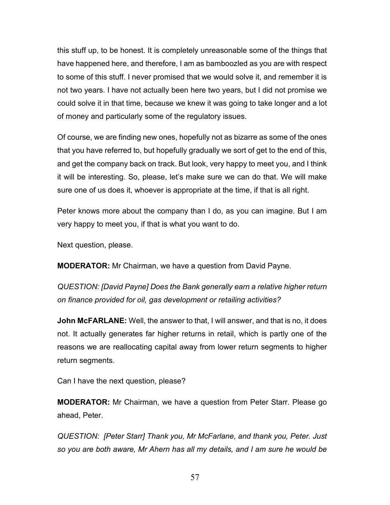this stuff up, to be honest. It is completely unreasonable some of the things that have happened here, and therefore, I am as bamboozled as you are with respect to some of this stuff. I never promised that we would solve it, and remember it is not two years. I have not actually been here two years, but I did not promise we could solve it in that time, because we knew it was going to take longer and a lot of money and particularly some of the regulatory issues.

Of course, we are finding new ones, hopefully not as bizarre as some of the ones that you have referred to, but hopefully gradually we sort of get to the end of this, and get the company back on track. But look, very happy to meet you, and I think it will be interesting. So, please, let's make sure we can do that. We will make sure one of us does it, whoever is appropriate at the time, if that is all right.

Peter knows more about the company than I do, as you can imagine. But I am very happy to meet you, if that is what you want to do.

Next question, please.

**MODERATOR:** Mr Chairman, we have a question from David Payne.

*QUESTION: [David Payne] Does the Bank generally earn a relative higher return on finance provided for oil, gas development or retailing activities?*

**John McFARLANE:** Well, the answer to that, I will answer, and that is no, it does not. It actually generates far higher returns in retail, which is partly one of the reasons we are reallocating capital away from lower return segments to higher return segments.

Can I have the next question, please?

**MODERATOR:** Mr Chairman, we have a question from Peter Starr. Please go ahead, Peter.

*QUESTION: [Peter Starr] Thank you, Mr McFarlane, and thank you, Peter. Just so you are both aware, Mr Ahern has all my details, and I am sure he would be*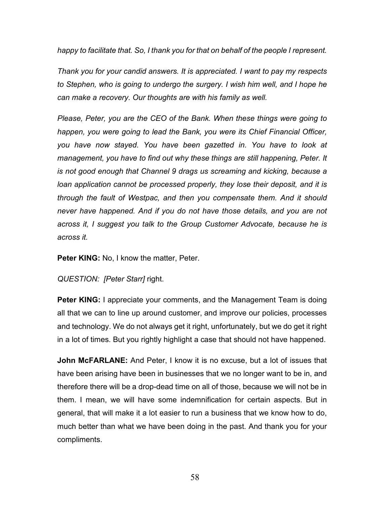*happy to facilitate that. So, I thank you for that on behalf of the people I represent.* 

*Thank you for your candid answers. It is appreciated. I want to pay my respects to Stephen, who is going to undergo the surgery. I wish him well, and I hope he can make a recovery. Our thoughts are with his family as well.* 

*Please, Peter, you are the CEO of the Bank. When these things were going to happen, you were going to lead the Bank, you were its Chief Financial Officer, you have now stayed. You have been gazetted in. You have to look at management, you have to find out why these things are still happening, Peter. It is not good enough that Channel 9 drags us screaming and kicking, because a*  loan application cannot be processed properly, they lose their deposit, and it is *through the fault of Westpac, and then you compensate them. And it should never have happened. And if you do not have those details, and you are not across it, I suggest you talk to the Group Customer Advocate, because he is across it.* 

**Peter KING:** No, I know the matter, Peter.

*QUESTION: [Peter Starr]* right.

**Peter KING:** I appreciate your comments, and the Management Team is doing all that we can to line up around customer, and improve our policies, processes and technology. We do not always get it right, unfortunately, but we do get it right in a lot of times. But you rightly highlight a case that should not have happened.

**John McFARLANE:** And Peter, I know it is no excuse, but a lot of issues that have been arising have been in businesses that we no longer want to be in, and therefore there will be a drop-dead time on all of those, because we will not be in them. I mean, we will have some indemnification for certain aspects. But in general, that will make it a lot easier to run a business that we know how to do, much better than what we have been doing in the past. And thank you for your compliments.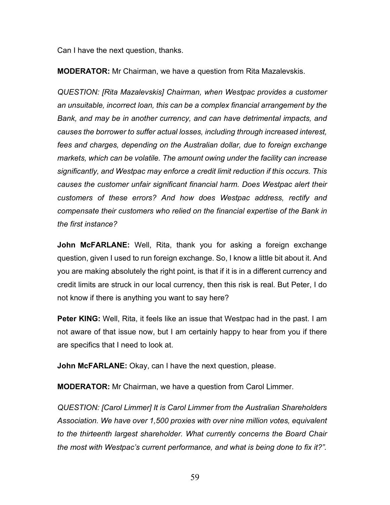Can I have the next question, thanks.

**MODERATOR:** Mr Chairman, we have a question from Rita Mazalevskis.

*QUESTION: [Rita Mazalevskis] Chairman, when Westpac provides a customer an unsuitable, incorrect loan, this can be a complex financial arrangement by the Bank, and may be in another currency, and can have detrimental impacts, and causes the borrower to suffer actual losses, including through increased interest, fees and charges, depending on the Australian dollar, due to foreign exchange markets, which can be volatile. The amount owing under the facility can increase significantly, and Westpac may enforce a credit limit reduction if this occurs. This causes the customer unfair significant financial harm. Does Westpac alert their customers of these errors? And how does Westpac address, rectify and compensate their customers who relied on the financial expertise of the Bank in the first instance?*

**John McFARLANE:** Well, Rita, thank you for asking a foreign exchange question, given I used to run foreign exchange. So, I know a little bit about it. And you are making absolutely the right point, is that if it is in a different currency and credit limits are struck in our local currency, then this risk is real. But Peter, I do not know if there is anything you want to say here?

**Peter KING:** Well, Rita, it feels like an issue that Westpac had in the past. I am not aware of that issue now, but I am certainly happy to hear from you if there are specifics that I need to look at.

**John McFARLANE:** Okay, can I have the next question, please.

**MODERATOR:** Mr Chairman, we have a question from Carol Limmer.

*QUESTION: [Carol Limmer] It is Carol Limmer from the Australian Shareholders Association. We have over 1,500 proxies with over nine million votes, equivalent to the thirteenth largest shareholder. What currently concerns the Board Chair the most with Westpac's current performance, and what is being done to fix it?".*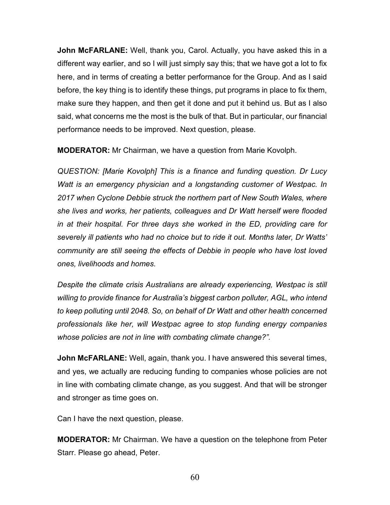**John McFARLANE:** Well, thank you, Carol. Actually, you have asked this in a different way earlier, and so I will just simply say this; that we have got a lot to fix here, and in terms of creating a better performance for the Group. And as I said before, the key thing is to identify these things, put programs in place to fix them, make sure they happen, and then get it done and put it behind us. But as I also said, what concerns me the most is the bulk of that. But in particular, our financial performance needs to be improved. Next question, please.

**MODERATOR:** Mr Chairman, we have a question from Marie Kovolph.

*QUESTION: [Marie Kovolph] This is a finance and funding question. Dr Lucy Watt is an emergency physician and a longstanding customer of Westpac. In 2017 when Cyclone Debbie struck the northern part of New South Wales, where she lives and works, her patients, colleagues and Dr Watt herself were flooded in at their hospital. For three days she worked in the ED, providing care for severely ill patients who had no choice but to ride it out. Months later, Dr Watts' community are still seeing the effects of Debbie in people who have lost loved ones, livelihoods and homes.* 

*Despite the climate crisis Australians are already experiencing, Westpac is still willing to provide finance for Australia's biggest carbon polluter, AGL, who intend to keep polluting until 2048. So, on behalf of Dr Watt and other health concerned professionals like her, will Westpac agree to stop funding energy companies whose policies are not in line with combating climate change?".*

**John McFARLANE:** Well, again, thank you. I have answered this several times, and yes, we actually are reducing funding to companies whose policies are not in line with combating climate change, as you suggest. And that will be stronger and stronger as time goes on.

Can I have the next question, please.

**MODERATOR:** Mr Chairman. We have a question on the telephone from Peter Starr. Please go ahead, Peter.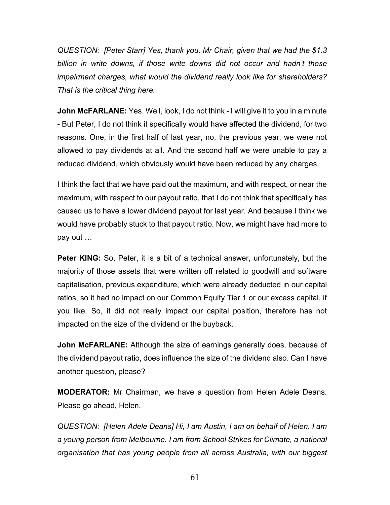*QUESTION: [Peter Starr] Yes, thank you. Mr Chair, given that we had the \$1.3 billion in write downs, if those write downs did not occur and hadn't those impairment charges, what would the dividend really look like for shareholders? That is the critical thing here.* 

**John McFARLANE:** Yes. Well, look, I do not think - I will give it to you in a minute - But Peter, I do not think it specifically would have affected the dividend, for two reasons. One, in the first half of last year, no, the previous year, we were not allowed to pay dividends at all. And the second half we were unable to pay a reduced dividend, which obviously would have been reduced by any charges.

I think the fact that we have paid out the maximum, and with respect, or near the maximum, with respect to our payout ratio, that I do not think that specifically has caused us to have a lower dividend payout for last year. And because I think we would have probably stuck to that payout ratio. Now, we might have had more to pay out …

**Peter KING:** So, Peter, it is a bit of a technical answer, unfortunately, but the majority of those assets that were written off related to goodwill and software capitalisation, previous expenditure, which were already deducted in our capital ratios, so it had no impact on our Common Equity Tier 1 or our excess capital, if you like. So, it did not really impact our capital position, therefore has not impacted on the size of the dividend or the buyback.

**John McFARLANE:** Although the size of earnings generally does, because of the dividend payout ratio, does influence the size of the dividend also. Can I have another question, please?

**MODERATOR:** Mr Chairman, we have a question from Helen Adele Deans. Please go ahead, Helen.

*QUESTION: [Helen Adele Deans] Hi, I am Austin, I am on behalf of Helen. I am a young person from Melbourne. I am from School Strikes for Climate, a national organisation that has young people from all across Australia, with our biggest*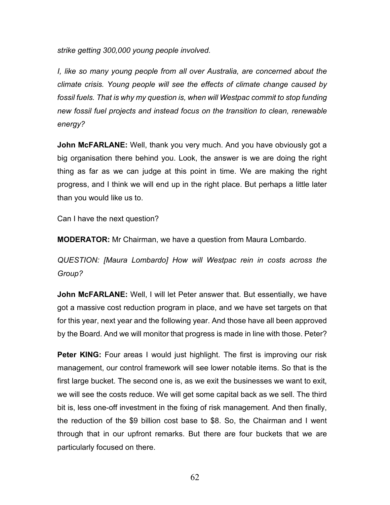*strike getting 300,000 young people involved.* 

*I, like so many young people from all over Australia, are concerned about the climate crisis. Young people will see the effects of climate change caused by fossil fuels. That is why my question is, when will Westpac commit to stop funding new fossil fuel projects and instead focus on the transition to clean, renewable energy?* 

**John McFARLANE:** Well, thank you very much. And you have obviously got a big organisation there behind you. Look, the answer is we are doing the right thing as far as we can judge at this point in time. We are making the right progress, and I think we will end up in the right place. But perhaps a little later than you would like us to.

Can I have the next question?

**MODERATOR:** Mr Chairman, we have a question from Maura Lombardo.

*QUESTION: [Maura Lombardo] How will Westpac rein in costs across the Group?*

**John McFARLANE:** Well, I will let Peter answer that. But essentially, we have got a massive cost reduction program in place, and we have set targets on that for this year, next year and the following year. And those have all been approved by the Board. And we will monitor that progress is made in line with those. Peter?

**Peter KING:** Four areas I would just highlight. The first is improving our risk management, our control framework will see lower notable items. So that is the first large bucket. The second one is, as we exit the businesses we want to exit, we will see the costs reduce. We will get some capital back as we sell. The third bit is, less one-off investment in the fixing of risk management. And then finally, the reduction of the \$9 billion cost base to \$8. So, the Chairman and I went through that in our upfront remarks. But there are four buckets that we are particularly focused on there.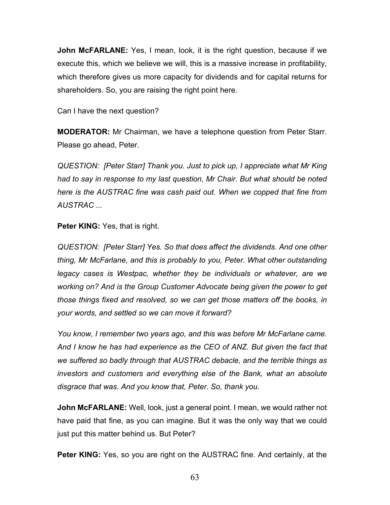**John McFARLANE:** Yes, I mean, look, it is the right question, because if we execute this, which we believe we will, this is a massive increase in profitability, which therefore gives us more capacity for dividends and for capital returns for shareholders. So, you are raising the right point here.

Can I have the next question?

**MODERATOR:** Mr Chairman, we have a telephone question from Peter Starr. Please go ahead, Peter.

*QUESTION: [Peter Starr] Thank you. Just to pick up, I appreciate what Mr King had to say in response to my last question, Mr Chair. But what should be noted here is the AUSTRAC fine was cash paid out. When we copped that fine from AUSTRAC ...* 

**Peter KING:** Yes, that is right.

*QUESTION: [Peter Starr] Yes. So that does affect the dividends. And one other thing, Mr McFarlane, and this is probably to you, Peter. What other outstanding legacy cases is Westpac, whether they be individuals or whatever, are we working on? And is the Group Customer Advocate being given the power to get those things fixed and resolved, so we can get those matters off the books, in your words, and settled so we can move it forward?*

*You know, I remember two years ago, and this was before Mr McFarlane came. And I know he has had experience as the CEO of ANZ. But given the fact that we suffered so badly through that AUSTRAC debacle, and the terrible things as investors and customers and everything else of the Bank, what an absolute disgrace that was. And you know that, Peter. So, thank you.* 

**John McFARLANE:** Well, look, just a general point. I mean, we would rather not have paid that fine, as you can imagine. But it was the only way that we could just put this matter behind us. But Peter?

**Peter KING:** Yes, so you are right on the AUSTRAC fine. And certainly, at the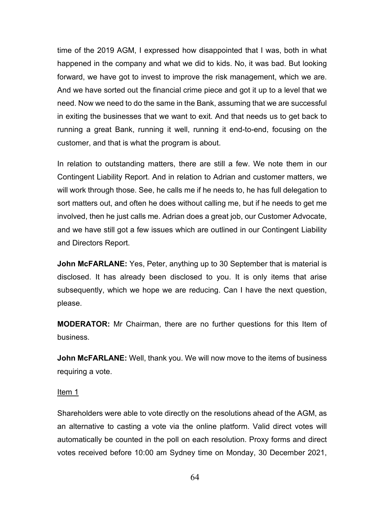time of the 2019 AGM, I expressed how disappointed that I was, both in what happened in the company and what we did to kids. No, it was bad. But looking forward, we have got to invest to improve the risk management, which we are. And we have sorted out the financial crime piece and got it up to a level that we need. Now we need to do the same in the Bank, assuming that we are successful in exiting the businesses that we want to exit. And that needs us to get back to running a great Bank, running it well, running it end-to-end, focusing on the customer, and that is what the program is about.

In relation to outstanding matters, there are still a few. We note them in our Contingent Liability Report. And in relation to Adrian and customer matters, we will work through those. See, he calls me if he needs to, he has full delegation to sort matters out, and often he does without calling me, but if he needs to get me involved, then he just calls me. Adrian does a great job, our Customer Advocate, and we have still got a few issues which are outlined in our Contingent Liability and Directors Report.

**John McFARLANE:** Yes, Peter, anything up to 30 September that is material is disclosed. It has already been disclosed to you. It is only items that arise subsequently, which we hope we are reducing. Can I have the next question, please.

**MODERATOR:** Mr Chairman, there are no further questions for this Item of business.

**John McFARLANE:** Well, thank you. We will now move to the items of business requiring a vote.

#### Item 1

Shareholders were able to vote directly on the resolutions ahead of the AGM, as an alternative to casting a vote via the online platform. Valid direct votes will automatically be counted in the poll on each resolution. Proxy forms and direct votes received before 10:00 am Sydney time on Monday, 30 December 2021,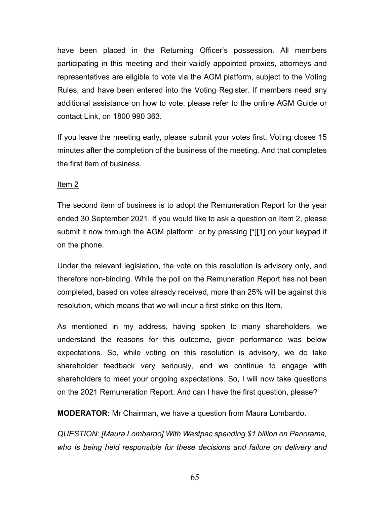have been placed in the Returning Officer's possession. All members participating in this meeting and their validly appointed proxies, attorneys and representatives are eligible to vote via the AGM platform, subject to the Voting Rules, and have been entered into the Voting Register. If members need any additional assistance on how to vote, please refer to the online AGM Guide or contact Link, on 1800 990 363.

If you leave the meeting early, please submit your votes first. Voting closes 15 minutes after the completion of the business of the meeting. And that completes the first item of business.

### Item 2

The second item of business is to adopt the Remuneration Report for the year ended 30 September 2021. If you would like to ask a question on Item 2, please submit it now through the AGM platform, or by pressing [\*][1] on your keypad if on the phone.

Under the relevant legislation, the vote on this resolution is advisory only, and therefore non-binding. While the poll on the Remuneration Report has not been completed, based on votes already received, more than 25% will be against this resolution, which means that we will incur a first strike on this Item.

As mentioned in my address, having spoken to many shareholders, we understand the reasons for this outcome, given performance was below expectations. So, while voting on this resolution is advisory, we do take shareholder feedback very seriously, and we continue to engage with shareholders to meet your ongoing expectations. So, I will now take questions on the 2021 Remuneration Report. And can I have the first question, please?

**MODERATOR:** Mr Chairman, we have a question from Maura Lombardo.

*QUESTION: [Maura Lombardo] With Westpac spending \$1 billion on Panorama, who is being held responsible for these decisions and failure on delivery and*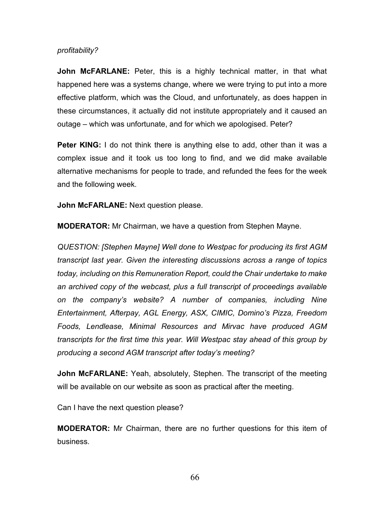### *profitability?*

**John McFARLANE:** Peter, this is a highly technical matter, in that what happened here was a systems change, where we were trying to put into a more effective platform, which was the Cloud, and unfortunately, as does happen in these circumstances, it actually did not institute appropriately and it caused an outage – which was unfortunate, and for which we apologised. Peter?

**Peter KING:** I do not think there is anything else to add, other than it was a complex issue and it took us too long to find, and we did make available alternative mechanisms for people to trade, and refunded the fees for the week and the following week.

**John McFARLANE:** Next question please.

**MODERATOR:** Mr Chairman, we have a question from Stephen Mayne.

*QUESTION: [Stephen Mayne] Well done to Westpac for producing its first AGM transcript last year. Given the interesting discussions across a range of topics today, including on this Remuneration Report, could the Chair undertake to make an archived copy of the webcast, plus a full transcript of proceedings available on the company's website? A number of companies, including Nine Entertainment, Afterpay, AGL Energy, ASX, CIMIC, Domino's Pizza, Freedom Foods, Lendlease, Minimal Resources and Mirvac have produced AGM transcripts for the first time this year. Will Westpac stay ahead of this group by producing a second AGM transcript after today's meeting?*

**John McFARLANE:** Yeah, absolutely, Stephen. The transcript of the meeting will be available on our website as soon as practical after the meeting.

Can I have the next question please?

**MODERATOR:** Mr Chairman, there are no further questions for this item of business.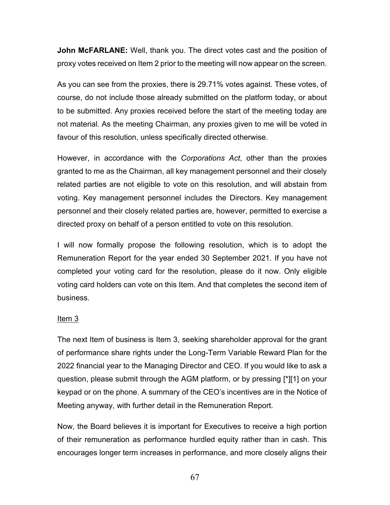**John McFARLANE:** Well, thank you. The direct votes cast and the position of proxy votes received on Item 2 prior to the meeting will now appear on the screen.

As you can see from the proxies, there is 29.71% votes against. These votes, of course, do not include those already submitted on the platform today, or about to be submitted. Any proxies received before the start of the meeting today are not material. As the meeting Chairman, any proxies given to me will be voted in favour of this resolution, unless specifically directed otherwise.

However, in accordance with the *Corporations Act*, other than the proxies granted to me as the Chairman, all key management personnel and their closely related parties are not eligible to vote on this resolution, and will abstain from voting. Key management personnel includes the Directors. Key management personnel and their closely related parties are, however, permitted to exercise a directed proxy on behalf of a person entitled to vote on this resolution.

I will now formally propose the following resolution, which is to adopt the Remuneration Report for the year ended 30 September 2021. If you have not completed your voting card for the resolution, please do it now. Only eligible voting card holders can vote on this Item. And that completes the second item of business.

# Item 3

The next Item of business is Item 3, seeking shareholder approval for the grant of performance share rights under the Long-Term Variable Reward Plan for the 2022 financial year to the Managing Director and CEO. If you would like to ask a question, please submit through the AGM platform, or by pressing [\*][1] on your keypad or on the phone. A summary of the CEO's incentives are in the Notice of Meeting anyway, with further detail in the Remuneration Report.

Now, the Board believes it is important for Executives to receive a high portion of their remuneration as performance hurdled equity rather than in cash. This encourages longer term increases in performance, and more closely aligns their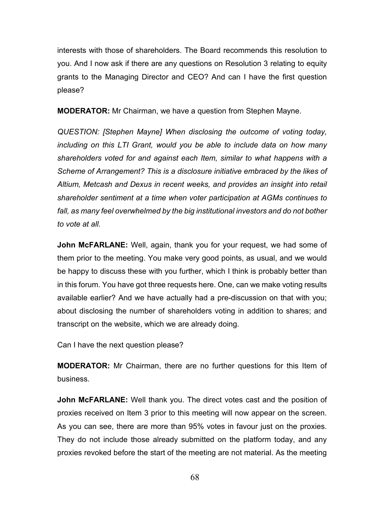interests with those of shareholders. The Board recommends this resolution to you. And I now ask if there are any questions on Resolution 3 relating to equity grants to the Managing Director and CEO? And can I have the first question please?

**MODERATOR:** Mr Chairman, we have a question from Stephen Mayne.

*QUESTION: [Stephen Mayne] When disclosing the outcome of voting today, including on this LTI Grant, would you be able to include data on how many shareholders voted for and against each Item, similar to what happens with a Scheme of Arrangement? This is a disclosure initiative embraced by the likes of Altium, Metcash and Dexus in recent weeks, and provides an insight into retail shareholder sentiment at a time when voter participation at AGMs continues to fall, as many feel overwhelmed by the big institutional investors and do not bother to vote at all.* 

**John McFARLANE:** Well, again, thank you for your request, we had some of them prior to the meeting. You make very good points, as usual, and we would be happy to discuss these with you further, which I think is probably better than in this forum. You have got three requests here. One, can we make voting results available earlier? And we have actually had a pre-discussion on that with you; about disclosing the number of shareholders voting in addition to shares; and transcript on the website, which we are already doing.

Can I have the next question please?

**MODERATOR:** Mr Chairman, there are no further questions for this Item of business.

**John McFARLANE:** Well thank you. The direct votes cast and the position of proxies received on Item 3 prior to this meeting will now appear on the screen. As you can see, there are more than 95% votes in favour just on the proxies. They do not include those already submitted on the platform today, and any proxies revoked before the start of the meeting are not material. As the meeting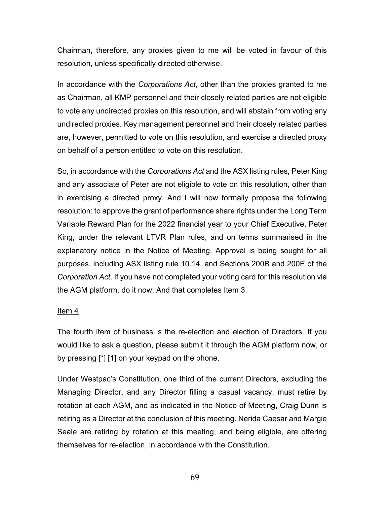Chairman, therefore, any proxies given to me will be voted in favour of this resolution, unless specifically directed otherwise.

In accordance with the *Corporations Act*, other than the proxies granted to me as Chairman, all KMP personnel and their closely related parties are not eligible to vote any undirected proxies on this resolution, and will abstain from voting any undirected proxies. Key management personnel and their closely related parties are, however, permitted to vote on this resolution, and exercise a directed proxy on behalf of a person entitled to vote on this resolution.

So, in accordance with the *Corporations Act* and the ASX listing rules, Peter King and any associate of Peter are not eligible to vote on this resolution, other than in exercising a directed proxy. And I will now formally propose the following resolution: to approve the grant of performance share rights under the Long Term Variable Reward Plan for the 2022 financial year to your Chief Executive, Peter King, under the relevant LTVR Plan rules, and on terms summarised in the explanatory notice in the Notice of Meeting. Approval is being sought for all purposes, including ASX listing rule 10.14, and Sections 200B and 200E of the *Corporation Act*. If you have not completed your voting card for this resolution via the AGM platform, do it now. And that completes Item 3.

# Item 4

The fourth item of business is the re-election and election of Directors. If you would like to ask a question, please submit it through the AGM platform now, or by pressing [\*] [1] on your keypad on the phone.

Under Westpac's Constitution, one third of the current Directors, excluding the Managing Director, and any Director filling a casual vacancy, must retire by rotation at each AGM, and as indicated in the Notice of Meeting, Craig Dunn is retiring as a Director at the conclusion of this meeting. Nerida Caesar and Margie Seale are retiring by rotation at this meeting, and being eligible, are offering themselves for re-election, in accordance with the Constitution.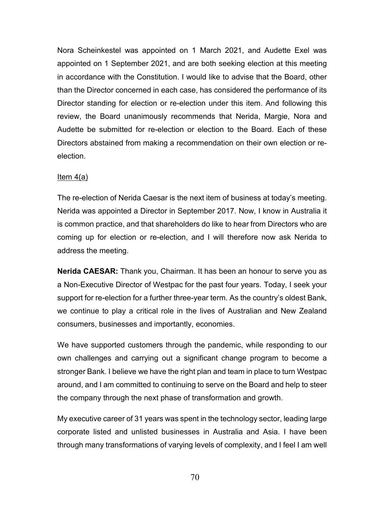Nora Scheinkestel was appointed on 1 March 2021, and Audette Exel was appointed on 1 September 2021, and are both seeking election at this meeting in accordance with the Constitution. I would like to advise that the Board, other than the Director concerned in each case, has considered the performance of its Director standing for election or re-election under this item. And following this review, the Board unanimously recommends that Nerida, Margie, Nora and Audette be submitted for re-election or election to the Board. Each of these Directors abstained from making a recommendation on their own election or reelection.

## Item 4(a)

The re-election of Nerida Caesar is the next item of business at today's meeting. Nerida was appointed a Director in September 2017. Now, I know in Australia it is common practice, and that shareholders do like to hear from Directors who are coming up for election or re-election, and I will therefore now ask Nerida to address the meeting.

**Nerida CAESAR:** Thank you, Chairman. It has been an honour to serve you as a Non-Executive Director of Westpac for the past four years. Today, I seek your support for re-election for a further three-year term. As the country's oldest Bank, we continue to play a critical role in the lives of Australian and New Zealand consumers, businesses and importantly, economies.

We have supported customers through the pandemic, while responding to our own challenges and carrying out a significant change program to become a stronger Bank. I believe we have the right plan and team in place to turn Westpac around, and I am committed to continuing to serve on the Board and help to steer the company through the next phase of transformation and growth.

My executive career of 31 years was spent in the technology sector, leading large corporate listed and unlisted businesses in Australia and Asia. I have been through many transformations of varying levels of complexity, and I feel I am well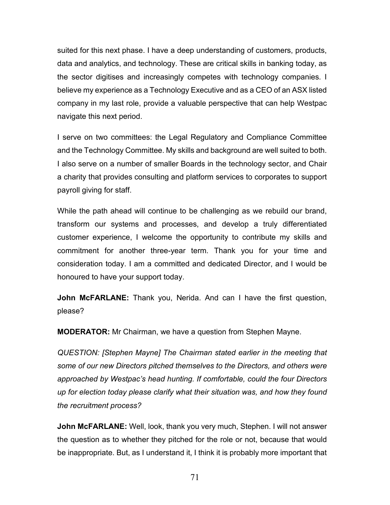suited for this next phase. I have a deep understanding of customers, products, data and analytics, and technology. These are critical skills in banking today, as the sector digitises and increasingly competes with technology companies. I believe my experience as a Technology Executive and as a CEO of an ASX listed company in my last role, provide a valuable perspective that can help Westpac navigate this next period.

I serve on two committees: the Legal Regulatory and Compliance Committee and the Technology Committee. My skills and background are well suited to both. I also serve on a number of smaller Boards in the technology sector, and Chair a charity that provides consulting and platform services to corporates to support payroll giving for staff.

While the path ahead will continue to be challenging as we rebuild our brand, transform our systems and processes, and develop a truly differentiated customer experience, I welcome the opportunity to contribute my skills and commitment for another three-year term. Thank you for your time and consideration today. I am a committed and dedicated Director, and I would be honoured to have your support today.

**John McFARLANE:** Thank you, Nerida. And can I have the first question, please?

**MODERATOR:** Mr Chairman, we have a question from Stephen Mayne.

*QUESTION: [Stephen Mayne] The Chairman stated earlier in the meeting that some of our new Directors pitched themselves to the Directors, and others were approached by Westpac's head hunting. If comfortable, could the four Directors up for election today please clarify what their situation was, and how they found the recruitment process?*

**John McFARLANE:** Well, look, thank you very much, Stephen. I will not answer the question as to whether they pitched for the role or not, because that would be inappropriate. But, as I understand it, I think it is probably more important that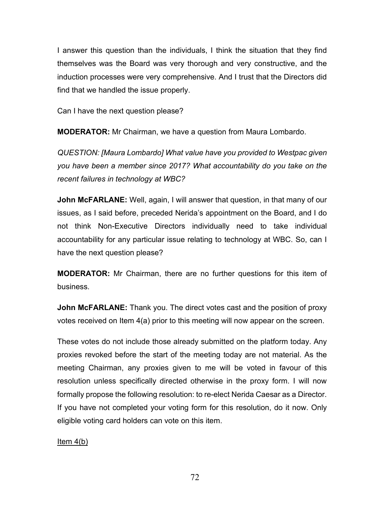I answer this question than the individuals, I think the situation that they find themselves was the Board was very thorough and very constructive, and the induction processes were very comprehensive. And I trust that the Directors did find that we handled the issue properly.

Can I have the next question please?

**MODERATOR:** Mr Chairman, we have a question from Maura Lombardo.

*QUESTION: [Maura Lombardo] What value have you provided to Westpac given you have been a member since 2017? What accountability do you take on the recent failures in technology at WBC?*

**John McFARLANE:** Well, again, I will answer that question, in that many of our issues, as I said before, preceded Nerida's appointment on the Board, and I do not think Non-Executive Directors individually need to take individual accountability for any particular issue relating to technology at WBC. So, can I have the next question please?

**MODERATOR:** Mr Chairman, there are no further questions for this item of business.

**John McFARLANE:** Thank you. The direct votes cast and the position of proxy votes received on Item 4(a) prior to this meeting will now appear on the screen.

These votes do not include those already submitted on the platform today. Any proxies revoked before the start of the meeting today are not material. As the meeting Chairman, any proxies given to me will be voted in favour of this resolution unless specifically directed otherwise in the proxy form. I will now formally propose the following resolution: to re-elect Nerida Caesar as a Director. If you have not completed your voting form for this resolution, do it now. Only eligible voting card holders can vote on this item.

Item 4(b)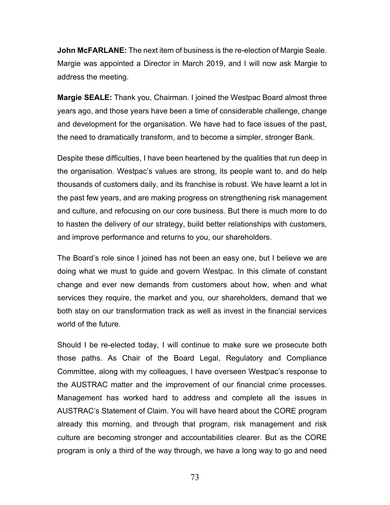**John McFARLANE:** The next item of business is the re-election of Margie Seale. Margie was appointed a Director in March 2019, and I will now ask Margie to address the meeting.

**Margie SEALE:** Thank you, Chairman. I joined the Westpac Board almost three years ago, and those years have been a time of considerable challenge, change and development for the organisation. We have had to face issues of the past, the need to dramatically transform, and to become a simpler, stronger Bank.

Despite these difficulties, I have been heartened by the qualities that run deep in the organisation. Westpac's values are strong, its people want to, and do help thousands of customers daily, and its franchise is robust. We have learnt a lot in the past few years, and are making progress on strengthening risk management and culture, and refocusing on our core business. But there is much more to do to hasten the delivery of our strategy, build better relationships with customers, and improve performance and returns to you, our shareholders.

The Board's role since I joined has not been an easy one, but I believe we are doing what we must to guide and govern Westpac. In this climate of constant change and ever new demands from customers about how, when and what services they require, the market and you, our shareholders, demand that we both stay on our transformation track as well as invest in the financial services world of the future.

Should I be re-elected today, I will continue to make sure we prosecute both those paths. As Chair of the Board Legal, Regulatory and Compliance Committee, along with my colleagues, I have overseen Westpac's response to the AUSTRAC matter and the improvement of our financial crime processes. Management has worked hard to address and complete all the issues in AUSTRAC's Statement of Claim. You will have heard about the CORE program already this morning, and through that program, risk management and risk culture are becoming stronger and accountabilities clearer. But as the CORE program is only a third of the way through, we have a long way to go and need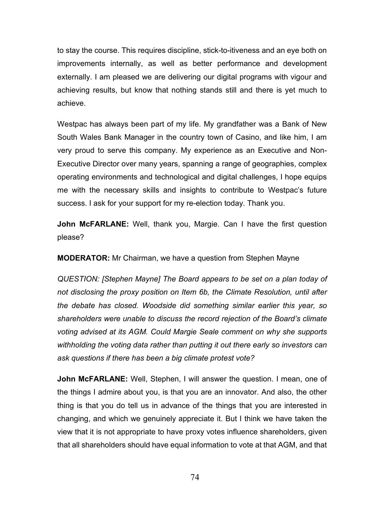to stay the course. This requires discipline, stick-to-itiveness and an eye both on improvements internally, as well as better performance and development externally. I am pleased we are delivering our digital programs with vigour and achieving results, but know that nothing stands still and there is yet much to achieve.

Westpac has always been part of my life. My grandfather was a Bank of New South Wales Bank Manager in the country town of Casino, and like him, I am very proud to serve this company. My experience as an Executive and Non-Executive Director over many years, spanning a range of geographies, complex operating environments and technological and digital challenges, I hope equips me with the necessary skills and insights to contribute to Westpac's future success. I ask for your support for my re-election today. Thank you.

**John McFARLANE:** Well, thank you, Margie. Can I have the first question please?

**MODERATOR:** Mr Chairman, we have a question from Stephen Mayne

*QUESTION: [Stephen Mayne] The Board appears to be set on a plan today of not disclosing the proxy position on Item 6b, the Climate Resolution, until after the debate has closed. Woodside did something similar earlier this year, so shareholders were unable to discuss the record rejection of the Board's climate voting advised at its AGM. Could Margie Seale comment on why she supports withholding the voting data rather than putting it out there early so investors can ask questions if there has been a big climate protest vote?*

**John McFARLANE:** Well, Stephen, I will answer the question. I mean, one of the things I admire about you, is that you are an innovator. And also, the other thing is that you do tell us in advance of the things that you are interested in changing, and which we genuinely appreciate it. But I think we have taken the view that it is not appropriate to have proxy votes influence shareholders, given that all shareholders should have equal information to vote at that AGM, and that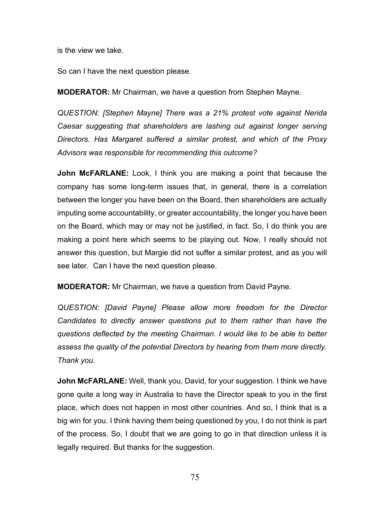is the view we take.

So can I have the next question please.

**MODERATOR:** Mr Chairman, we have a question from Stephen Mayne.

*QUESTION: [Stephen Mayne] There was a 21% protest vote against Nerida Caesar suggesting that shareholders are lashing out against longer serving Directors. Has Margaret suffered a similar protest, and which of the Proxy Advisors was responsible for recommending this outcome?* 

**John McFARLANE:** Look, I think you are making a point that because the company has some long-term issues that, in general, there is a correlation between the longer you have been on the Board, then shareholders are actually imputing some accountability, or greater accountability, the longer you have been on the Board, which may or may not be justified, in fact. So, I do think you are making a point here which seems to be playing out. Now, I really should not answer this question, but Margie did not suffer a similar protest, and as you will see later. Can I have the next question please.

**MODERATOR:** Mr Chairman, we have a question from David Payne.

*QUESTION: [David Payne] Please allow more freedom for the Director Candidates to directly answer questions put to them rather than have the questions deflected by the meeting Chairman. I would like to be able to better assess the quality of the potential Directors by hearing from them more directly. Thank you.* 

**John McFARLANE:** Well, thank you, David, for your suggestion. I think we have gone quite a long way in Australia to have the Director speak to you in the first place, which does not happen in most other countries. And so, I think that is a big win for you. I think having them being questioned by you, I do not think is part of the process. So, I doubt that we are going to go in that direction unless it is legally required. But thanks for the suggestion.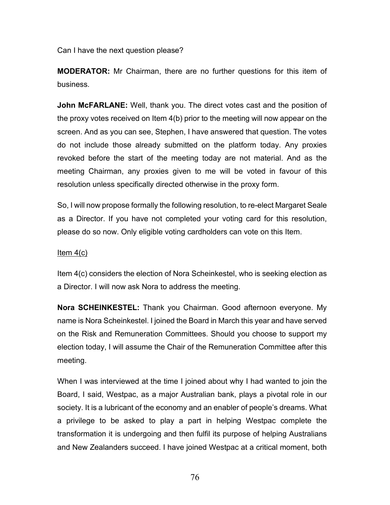Can I have the next question please?

**MODERATOR:** Mr Chairman, there are no further questions for this item of business.

**John McFARLANE:** Well, thank you. The direct votes cast and the position of the proxy votes received on Item 4(b) prior to the meeting will now appear on the screen. And as you can see, Stephen, I have answered that question. The votes do not include those already submitted on the platform today. Any proxies revoked before the start of the meeting today are not material. And as the meeting Chairman, any proxies given to me will be voted in favour of this resolution unless specifically directed otherwise in the proxy form.

So, I will now propose formally the following resolution, to re-elect Margaret Seale as a Director. If you have not completed your voting card for this resolution, please do so now. Only eligible voting cardholders can vote on this Item.

## Item 4(c)

Item 4(c) considers the election of Nora Scheinkestel, who is seeking election as a Director. I will now ask Nora to address the meeting.

**Nora SCHEINKESTEL:** Thank you Chairman. Good afternoon everyone. My name is Nora Scheinkestel. I joined the Board in March this year and have served on the Risk and Remuneration Committees. Should you choose to support my election today, I will assume the Chair of the Remuneration Committee after this meeting.

When I was interviewed at the time I joined about why I had wanted to join the Board, I said, Westpac, as a major Australian bank, plays a pivotal role in our society. It is a lubricant of the economy and an enabler of people's dreams. What a privilege to be asked to play a part in helping Westpac complete the transformation it is undergoing and then fulfil its purpose of helping Australians and New Zealanders succeed. I have joined Westpac at a critical moment, both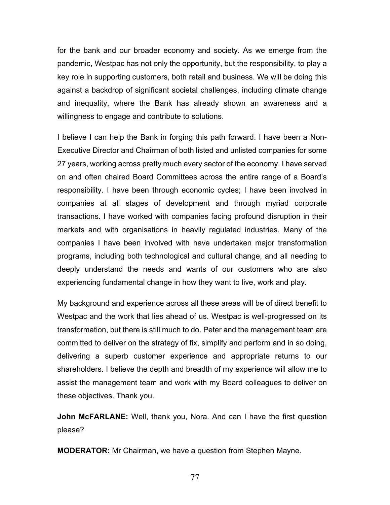for the bank and our broader economy and society. As we emerge from the pandemic, Westpac has not only the opportunity, but the responsibility, to play a key role in supporting customers, both retail and business. We will be doing this against a backdrop of significant societal challenges, including climate change and inequality, where the Bank has already shown an awareness and a willingness to engage and contribute to solutions.

I believe I can help the Bank in forging this path forward. I have been a Non-Executive Director and Chairman of both listed and unlisted companies for some 27 years, working across pretty much every sector of the economy. I have served on and often chaired Board Committees across the entire range of a Board's responsibility. I have been through economic cycles; I have been involved in companies at all stages of development and through myriad corporate transactions. I have worked with companies facing profound disruption in their markets and with organisations in heavily regulated industries. Many of the companies I have been involved with have undertaken major transformation programs, including both technological and cultural change, and all needing to deeply understand the needs and wants of our customers who are also experiencing fundamental change in how they want to live, work and play.

My background and experience across all these areas will be of direct benefit to Westpac and the work that lies ahead of us. Westpac is well-progressed on its transformation, but there is still much to do. Peter and the management team are committed to deliver on the strategy of fix, simplify and perform and in so doing, delivering a superb customer experience and appropriate returns to our shareholders. I believe the depth and breadth of my experience will allow me to assist the management team and work with my Board colleagues to deliver on these objectives. Thank you.

**John McFARLANE:** Well, thank you, Nora. And can I have the first question please?

**MODERATOR:** Mr Chairman, we have a question from Stephen Mayne.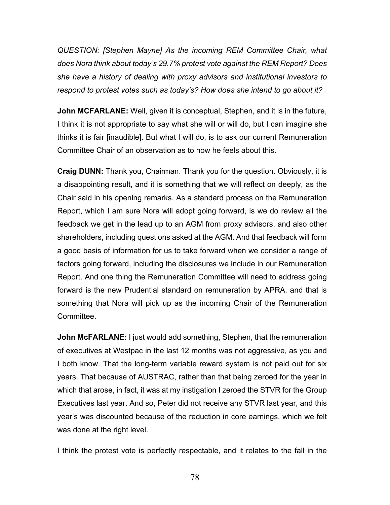*QUESTION: [Stephen Mayne] As the incoming REM Committee Chair, what does Nora think about today's 29.7% protest vote against the REM Report? Does she have a history of dealing with proxy advisors and institutional investors to respond to protest votes such as today's? How does she intend to go about it?*

**John MCFARLANE:** Well, given it is conceptual, Stephen, and it is in the future, I think it is not appropriate to say what she will or will do, but I can imagine she thinks it is fair [inaudible]. But what I will do, is to ask our current Remuneration Committee Chair of an observation as to how he feels about this.

**Craig DUNN:** Thank you, Chairman. Thank you for the question. Obviously, it is a disappointing result, and it is something that we will reflect on deeply, as the Chair said in his opening remarks. As a standard process on the Remuneration Report, which I am sure Nora will adopt going forward, is we do review all the feedback we get in the lead up to an AGM from proxy advisors, and also other shareholders, including questions asked at the AGM. And that feedback will form a good basis of information for us to take forward when we consider a range of factors going forward, including the disclosures we include in our Remuneration Report. And one thing the Remuneration Committee will need to address going forward is the new Prudential standard on remuneration by APRA, and that is something that Nora will pick up as the incoming Chair of the Remuneration Committee.

**John McFARLANE:** I just would add something, Stephen, that the remuneration of executives at Westpac in the last 12 months was not aggressive, as you and I both know. That the long-term variable reward system is not paid out for six years. That because of AUSTRAC, rather than that being zeroed for the year in which that arose, in fact, it was at my instigation I zeroed the STVR for the Group Executives last year. And so, Peter did not receive any STVR last year, and this year's was discounted because of the reduction in core earnings, which we felt was done at the right level.

I think the protest vote is perfectly respectable, and it relates to the fall in the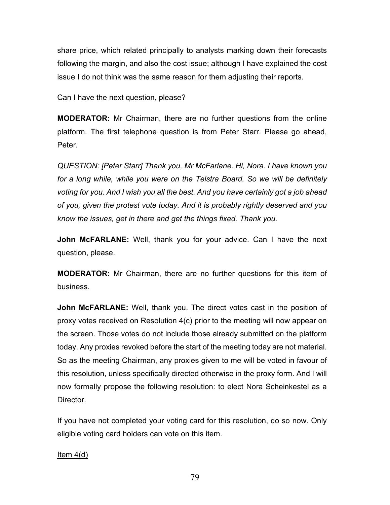share price, which related principally to analysts marking down their forecasts following the margin, and also the cost issue; although I have explained the cost issue I do not think was the same reason for them adjusting their reports.

Can I have the next question, please?

**MODERATOR:** Mr Chairman, there are no further questions from the online platform. The first telephone question is from Peter Starr. Please go ahead, Peter.

*QUESTION: [Peter Starr] Thank you, Mr McFarlane. Hi, Nora. I have known you for a long while, while you were on the Telstra Board. So we will be definitely voting for you. And I wish you all the best. And you have certainly got a job ahead of you, given the protest vote today. And it is probably rightly deserved and you know the issues, get in there and get the things fixed. Thank you.* 

**John McFARLANE:** Well, thank you for your advice. Can I have the next question, please.

**MODERATOR:** Mr Chairman, there are no further questions for this item of business.

**John McFARLANE:** Well, thank you. The direct votes cast in the position of proxy votes received on Resolution 4(c) prior to the meeting will now appear on the screen. Those votes do not include those already submitted on the platform today. Any proxies revoked before the start of the meeting today are not material. So as the meeting Chairman, any proxies given to me will be voted in favour of this resolution, unless specifically directed otherwise in the proxy form. And I will now formally propose the following resolution: to elect Nora Scheinkestel as a Director.

If you have not completed your voting card for this resolution, do so now. Only eligible voting card holders can vote on this item.

Item 4(d)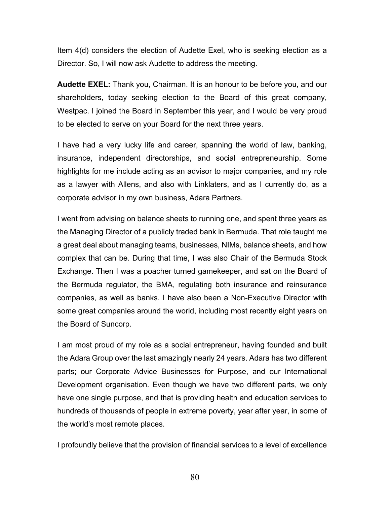Item 4(d) considers the election of Audette Exel, who is seeking election as a Director. So, I will now ask Audette to address the meeting.

**Audette EXEL:** Thank you, Chairman. It is an honour to be before you, and our shareholders, today seeking election to the Board of this great company, Westpac. I joined the Board in September this year, and I would be very proud to be elected to serve on your Board for the next three years.

I have had a very lucky life and career, spanning the world of law, banking, insurance, independent directorships, and social entrepreneurship. Some highlights for me include acting as an advisor to major companies, and my role as a lawyer with Allens, and also with Linklaters, and as I currently do, as a corporate advisor in my own business, Adara Partners.

I went from advising on balance sheets to running one, and spent three years as the Managing Director of a publicly traded bank in Bermuda. That role taught me a great deal about managing teams, businesses, NIMs, balance sheets, and how complex that can be. During that time, I was also Chair of the Bermuda Stock Exchange. Then I was a poacher turned gamekeeper, and sat on the Board of the Bermuda regulator, the BMA, regulating both insurance and reinsurance companies, as well as banks. I have also been a Non-Executive Director with some great companies around the world, including most recently eight years on the Board of Suncorp.

I am most proud of my role as a social entrepreneur, having founded and built the Adara Group over the last amazingly nearly 24 years. Adara has two different parts; our Corporate Advice Businesses for Purpose, and our International Development organisation. Even though we have two different parts, we only have one single purpose, and that is providing health and education services to hundreds of thousands of people in extreme poverty, year after year, in some of the world's most remote places.

I profoundly believe that the provision of financial services to a level of excellence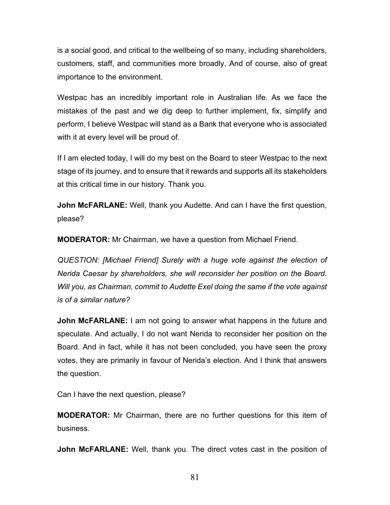is a social good, and critical to the wellbeing of so many, including shareholders, customers, staff, and communities more broadly. And of course, also of great importance to the environment.

Westpac has an incredibly important role in Australian life. As we face the mistakes of the past and we dig deep to further implement, fix, simplify and perform, I believe Westpac will stand as a Bank that everyone who is associated with it at every level will be proud of.

If I am elected today, I will do my best on the Board to steer Westpac to the next stage of its journey, and to ensure that it rewards and supports all its stakeholders at this critical time in our history. Thank you.

**John McFARLANE:** Well, thank you Audette. And can I have the first question, please?

**MODERATOR:** Mr Chairman, we have a question from Michael Friend.

*QUESTION: [Michael Friend] Surely with a huge vote against the election of Nerida Caesar by shareholders, she will reconsider her position on the Board. Will you, as Chairman, commit to Audette Exel doing the same if the vote against is of a similar nature?*

**John McFARLANE:** I am not going to answer what happens in the future and speculate. And actually, I do not want Nerida to reconsider her position on the Board. And in fact, while it has not been concluded, you have seen the proxy votes, they are primarily in favour of Nerida's election. And I think that answers the question.

Can I have the next question, please?

**MODERATOR:** Mr Chairman, there are no further questions for this item of business.

**John McFARLANE:** Well, thank you. The direct votes cast in the position of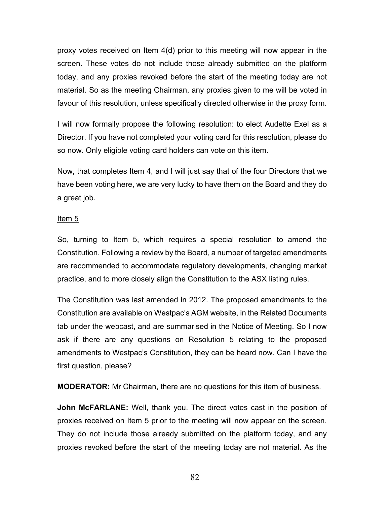proxy votes received on Item 4(d) prior to this meeting will now appear in the screen. These votes do not include those already submitted on the platform today, and any proxies revoked before the start of the meeting today are not material. So as the meeting Chairman, any proxies given to me will be voted in favour of this resolution, unless specifically directed otherwise in the proxy form.

I will now formally propose the following resolution: to elect Audette Exel as a Director. If you have not completed your voting card for this resolution, please do so now. Only eligible voting card holders can vote on this item.

Now, that completes Item 4, and I will just say that of the four Directors that we have been voting here, we are very lucky to have them on the Board and they do a great job.

#### Item 5

So, turning to Item 5, which requires a special resolution to amend the Constitution. Following a review by the Board, a number of targeted amendments are recommended to accommodate regulatory developments, changing market practice, and to more closely align the Constitution to the ASX listing rules.

The Constitution was last amended in 2012. The proposed amendments to the Constitution are available on Westpac's AGM website, in the Related Documents tab under the webcast, and are summarised in the Notice of Meeting. So I now ask if there are any questions on Resolution 5 relating to the proposed amendments to Westpac's Constitution, they can be heard now. Can I have the first question, please?

**MODERATOR:** Mr Chairman, there are no questions for this item of business.

**John McFARLANE:** Well, thank you. The direct votes cast in the position of proxies received on Item 5 prior to the meeting will now appear on the screen. They do not include those already submitted on the platform today, and any proxies revoked before the start of the meeting today are not material. As the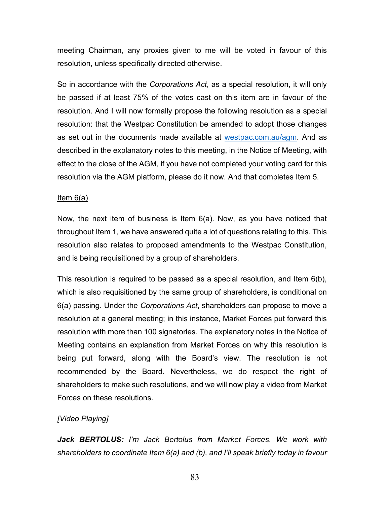meeting Chairman, any proxies given to me will be voted in favour of this resolution, unless specifically directed otherwise.

So in accordance with the *Corporations Act*, as a special resolution, it will only be passed if at least 75% of the votes cast on this item are in favour of the resolution. And I will now formally propose the following resolution as a special resolution: that the Westpac Constitution be amended to adopt those changes as set out in the documents made available at [westpac.com.au/agm.](http://www.westpac.com.au/agm) And as described in the explanatory notes to this meeting, in the Notice of Meeting, with effect to the close of the AGM, if you have not completed your voting card for this resolution via the AGM platform, please do it now. And that completes Item 5.

### Item 6(a)

Now, the next item of business is Item 6(a). Now, as you have noticed that throughout Item 1, we have answered quite a lot of questions relating to this. This resolution also relates to proposed amendments to the Westpac Constitution, and is being requisitioned by a group of shareholders.

This resolution is required to be passed as a special resolution, and Item 6(b), which is also requisitioned by the same group of shareholders, is conditional on 6(a) passing. Under the *Corporations Act*, shareholders can propose to move a resolution at a general meeting; in this instance, Market Forces put forward this resolution with more than 100 signatories. The explanatory notes in the Notice of Meeting contains an explanation from Market Forces on why this resolution is being put forward, along with the Board's view. The resolution is not recommended by the Board. Nevertheless, we do respect the right of shareholders to make such resolutions, and we will now play a video from Market Forces on these resolutions.

# *[Video Playing]*

*Jack BERTOLUS: I'm Jack Bertolus from Market Forces. We work with shareholders to coordinate Item 6(a) and (b), and I'll speak briefly today in favour*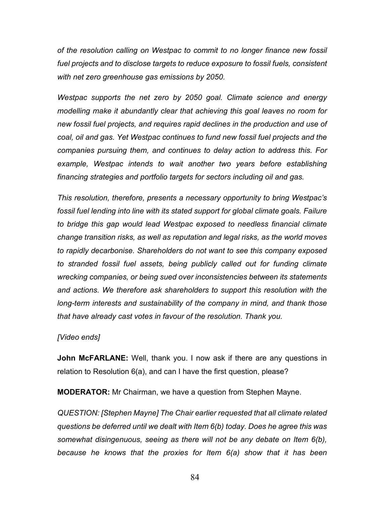*of the resolution calling on Westpac to commit to no longer finance new fossil fuel projects and to disclose targets to reduce exposure to fossil fuels, consistent with net zero greenhouse gas emissions by 2050.*

*Westpac supports the net zero by 2050 goal. Climate science and energy modelling make it abundantly clear that achieving this goal leaves no room for new fossil fuel projects, and requires rapid declines in the production and use of coal, oil and gas. Yet Westpac continues to fund new fossil fuel projects and the companies pursuing them, and continues to delay action to address this. For example, Westpac intends to wait another two years before establishing financing strategies and portfolio targets for sectors including oil and gas.* 

*This resolution, therefore, presents a necessary opportunity to bring Westpac's fossil fuel lending into line with its stated support for global climate goals. Failure to bridge this gap would lead Westpac exposed to needless financial climate change transition risks, as well as reputation and legal risks, as the world moves to rapidly decarbonise. Shareholders do not want to see this company exposed to stranded fossil fuel assets, being publicly called out for funding climate wrecking companies, or being sued over inconsistencies between its statements and actions. We therefore ask shareholders to support this resolution with the long-term interests and sustainability of the company in mind, and thank those that have already cast votes in favour of the resolution. Thank you.* 

#### *[Video ends]*

**John McFARLANE:** Well, thank you. I now ask if there are any questions in relation to Resolution 6(a), and can I have the first question, please?

**MODERATOR:** Mr Chairman, we have a question from Stephen Mayne.

*QUESTION: [Stephen Mayne] The Chair earlier requested that all climate related questions be deferred until we dealt with Item 6(b) today. Does he agree this was somewhat disingenuous, seeing as there will not be any debate on Item 6(b), because he knows that the proxies for Item 6(a) show that it has been*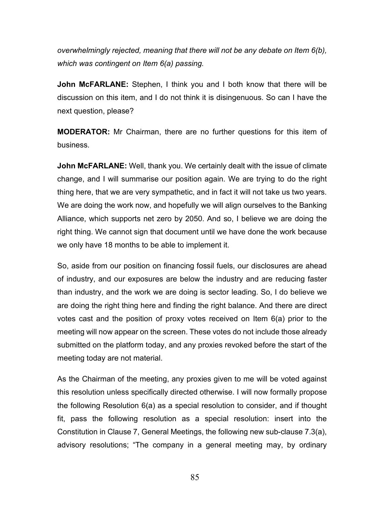*overwhelmingly rejected, meaning that there will not be any debate on Item 6(b), which was contingent on Item 6(a) passing.* 

**John McFARLANE:** Stephen, I think you and I both know that there will be discussion on this item, and I do not think it is disingenuous. So can I have the next question, please?

**MODERATOR:** Mr Chairman, there are no further questions for this item of business.

**John McFARLANE:** Well, thank you. We certainly dealt with the issue of climate change, and I will summarise our position again. We are trying to do the right thing here, that we are very sympathetic, and in fact it will not take us two years. We are doing the work now, and hopefully we will align ourselves to the Banking Alliance, which supports net zero by 2050. And so, I believe we are doing the right thing. We cannot sign that document until we have done the work because we only have 18 months to be able to implement it.

So, aside from our position on financing fossil fuels, our disclosures are ahead of industry, and our exposures are below the industry and are reducing faster than industry, and the work we are doing is sector leading. So, I do believe we are doing the right thing here and finding the right balance. And there are direct votes cast and the position of proxy votes received on Item 6(a) prior to the meeting will now appear on the screen. These votes do not include those already submitted on the platform today, and any proxies revoked before the start of the meeting today are not material.

As the Chairman of the meeting, any proxies given to me will be voted against this resolution unless specifically directed otherwise. I will now formally propose the following Resolution 6(a) as a special resolution to consider, and if thought fit, pass the following resolution as a special resolution: insert into the Constitution in Clause 7, General Meetings, the following new sub-clause 7.3(a), advisory resolutions; "The company in a general meeting may, by ordinary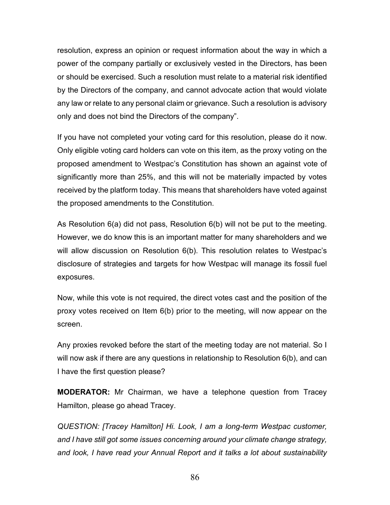resolution, express an opinion or request information about the way in which a power of the company partially or exclusively vested in the Directors, has been or should be exercised. Such a resolution must relate to a material risk identified by the Directors of the company, and cannot advocate action that would violate any law or relate to any personal claim or grievance. Such a resolution is advisory only and does not bind the Directors of the company".

If you have not completed your voting card for this resolution, please do it now. Only eligible voting card holders can vote on this item, as the proxy voting on the proposed amendment to Westpac's Constitution has shown an against vote of significantly more than 25%, and this will not be materially impacted by votes received by the platform today. This means that shareholders have voted against the proposed amendments to the Constitution.

As Resolution 6(a) did not pass, Resolution 6(b) will not be put to the meeting. However, we do know this is an important matter for many shareholders and we will allow discussion on Resolution 6(b). This resolution relates to Westpac's disclosure of strategies and targets for how Westpac will manage its fossil fuel exposures.

Now, while this vote is not required, the direct votes cast and the position of the proxy votes received on Item 6(b) prior to the meeting, will now appear on the screen.

Any proxies revoked before the start of the meeting today are not material. So I will now ask if there are any questions in relationship to Resolution 6(b), and can I have the first question please?

**MODERATOR:** Mr Chairman, we have a telephone question from Tracey Hamilton, please go ahead Tracey.

*QUESTION: [Tracey Hamilton] Hi. Look, I am a long-term Westpac customer, and I have still got some issues concerning around your climate change strategy, and look, I have read your Annual Report and it talks a lot about sustainability*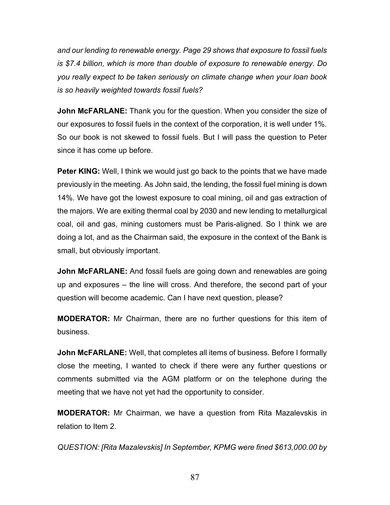*and our lending to renewable energy. Page 29 shows that exposure to fossil fuels is \$7.4 billion, which is more than double of exposure to renewable energy. Do you really expect to be taken seriously on climate change when your loan book is so heavily weighted towards fossil fuels?*

**John McFARLANE:** Thank you for the question. When you consider the size of our exposures to fossil fuels in the context of the corporation, it is well under 1%. So our book is not skewed to fossil fuels. But I will pass the question to Peter since it has come up before.

**Peter KING:** Well, I think we would just go back to the points that we have made previously in the meeting. As John said, the lending, the fossil fuel mining is down 14%. We have got the lowest exposure to coal mining, oil and gas extraction of the majors. We are exiting thermal coal by 2030 and new lending to metallurgical coal, oil and gas, mining customers must be Paris-aligned. So I think we are doing a lot, and as the Chairman said, the exposure in the context of the Bank is small, but obviously important.

**John McFARLANE:** And fossil fuels are going down and renewables are going up and exposures – the line will cross. And therefore, the second part of your question will become academic. Can I have next question, please?

**MODERATOR:** Mr Chairman, there are no further questions for this item of business.

**John McFARLANE:** Well, that completes all items of business. Before I formally close the meeting, I wanted to check if there were any further questions or comments submitted via the AGM platform or on the telephone during the meeting that we have not yet had the opportunity to consider.

**MODERATOR:** Mr Chairman, we have a question from Rita Mazalevskis in relation to Item 2.

*QUESTION: [Rita Mazalevskis] In September, KPMG were fined \$613,000.00 by*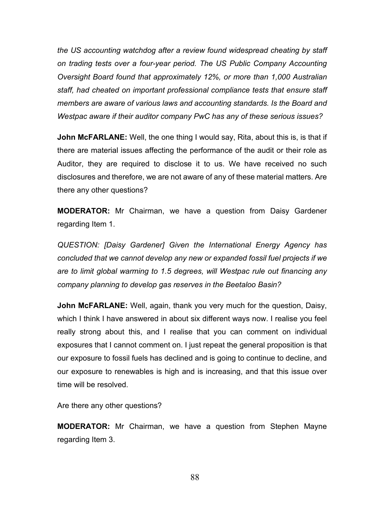*the US accounting watchdog after a review found widespread cheating by staff on trading tests over a four-year period. The US Public Company Accounting Oversight Board found that approximately 12%, or more than 1,000 Australian staff, had cheated on important professional compliance tests that ensure staff members are aware of various laws and accounting standards. Is the Board and Westpac aware if their auditor company PwC has any of these serious issues?*

**John McFARLANE:** Well, the one thing I would say, Rita, about this is, is that if there are material issues affecting the performance of the audit or their role as Auditor, they are required to disclose it to us. We have received no such disclosures and therefore, we are not aware of any of these material matters. Are there any other questions?

**MODERATOR:** Mr Chairman, we have a question from Daisy Gardener regarding Item 1.

*QUESTION: [Daisy Gardener] Given the International Energy Agency has concluded that we cannot develop any new or expanded fossil fuel projects if we are to limit global warming to 1.5 degrees, will Westpac rule out financing any company planning to develop gas reserves in the Beetaloo Basin?*

**John McFARLANE:** Well, again, thank you very much for the question, Daisy, which I think I have answered in about six different ways now. I realise you feel really strong about this, and I realise that you can comment on individual exposures that I cannot comment on. I just repeat the general proposition is that our exposure to fossil fuels has declined and is going to continue to decline, and our exposure to renewables is high and is increasing, and that this issue over time will be resolved.

Are there any other questions?

**MODERATOR:** Mr Chairman, we have a question from Stephen Mayne regarding Item 3.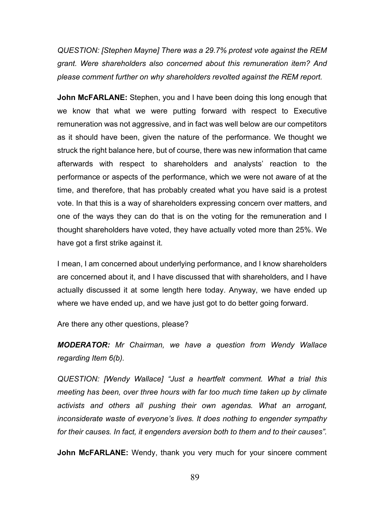*QUESTION: [Stephen Mayne] There was a 29.7% protest vote against the REM grant. Were shareholders also concerned about this remuneration item? And please comment further on why shareholders revolted against the REM report.* 

**John McFARLANE:** Stephen, you and I have been doing this long enough that we know that what we were putting forward with respect to Executive remuneration was not aggressive, and in fact was well below are our competitors as it should have been, given the nature of the performance. We thought we struck the right balance here, but of course, there was new information that came afterwards with respect to shareholders and analysts' reaction to the performance or aspects of the performance, which we were not aware of at the time, and therefore, that has probably created what you have said is a protest vote. In that this is a way of shareholders expressing concern over matters, and one of the ways they can do that is on the voting for the remuneration and I thought shareholders have voted, they have actually voted more than 25%. We have got a first strike against it.

I mean, I am concerned about underlying performance, and I know shareholders are concerned about it, and I have discussed that with shareholders, and I have actually discussed it at some length here today. Anyway, we have ended up where we have ended up, and we have just got to do better going forward.

Are there any other questions, please?

*MODERATOR: Mr Chairman, we have a question from Wendy Wallace regarding Item 6(b).*

*QUESTION: [Wendy Wallace] "Just a heartfelt comment. What a trial this meeting has been, over three hours with far too much time taken up by climate activists and others all pushing their own agendas. What an arrogant, inconsiderate waste of everyone's lives. It does nothing to engender sympathy for their causes. In fact, it engenders aversion both to them and to their causes".* 

**John McFARLANE:** Wendy, thank you very much for your sincere comment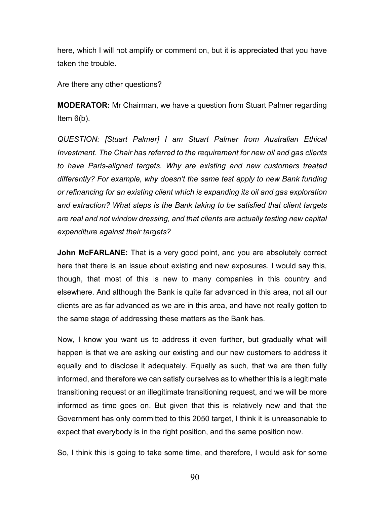here, which I will not amplify or comment on, but it is appreciated that you have taken the trouble.

Are there any other questions?

**MODERATOR:** Mr Chairman, we have a question from Stuart Palmer regarding Item 6(b).

*QUESTION: [Stuart Palmer] I am Stuart Palmer from Australian Ethical Investment. The Chair has referred to the requirement for new oil and gas clients to have Paris-aligned targets. Why are existing and new customers treated differently? For example, why doesn't the same test apply to new Bank funding or refinancing for an existing client which is expanding its oil and gas exploration and extraction? What steps is the Bank taking to be satisfied that client targets are real and not window dressing, and that clients are actually testing new capital expenditure against their targets?*

**John McFARLANE:** That is a very good point, and you are absolutely correct here that there is an issue about existing and new exposures. I would say this, though, that most of this is new to many companies in this country and elsewhere. And although the Bank is quite far advanced in this area, not all our clients are as far advanced as we are in this area, and have not really gotten to the same stage of addressing these matters as the Bank has.

Now, I know you want us to address it even further, but gradually what will happen is that we are asking our existing and our new customers to address it equally and to disclose it adequately. Equally as such, that we are then fully informed, and therefore we can satisfy ourselves as to whether this is a legitimate transitioning request or an illegitimate transitioning request, and we will be more informed as time goes on. But given that this is relatively new and that the Government has only committed to this 2050 target, I think it is unreasonable to expect that everybody is in the right position, and the same position now.

So, I think this is going to take some time, and therefore, I would ask for some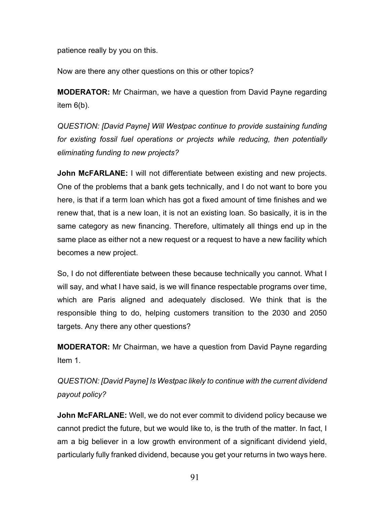patience really by you on this.

Now are there any other questions on this or other topics?

**MODERATOR:** Mr Chairman, we have a question from David Payne regarding item 6(b).

*QUESTION: [David Payne] Will Westpac continue to provide sustaining funding for existing fossil fuel operations or projects while reducing, then potentially eliminating funding to new projects?*

**John McFARLANE:** I will not differentiate between existing and new projects. One of the problems that a bank gets technically, and I do not want to bore you here, is that if a term loan which has got a fixed amount of time finishes and we renew that, that is a new loan, it is not an existing loan. So basically, it is in the same category as new financing. Therefore, ultimately all things end up in the same place as either not a new request or a request to have a new facility which becomes a new project.

So, I do not differentiate between these because technically you cannot. What I will say, and what I have said, is we will finance respectable programs over time, which are Paris aligned and adequately disclosed. We think that is the responsible thing to do, helping customers transition to the 2030 and 2050 targets. Any there any other questions?

**MODERATOR:** Mr Chairman, we have a question from David Payne regarding Item 1.

*QUESTION: [David Payne] Is Westpac likely to continue with the current dividend payout policy?*

**John McFARLANE:** Well, we do not ever commit to dividend policy because we cannot predict the future, but we would like to, is the truth of the matter. In fact, I am a big believer in a low growth environment of a significant dividend yield, particularly fully franked dividend, because you get your returns in two ways here.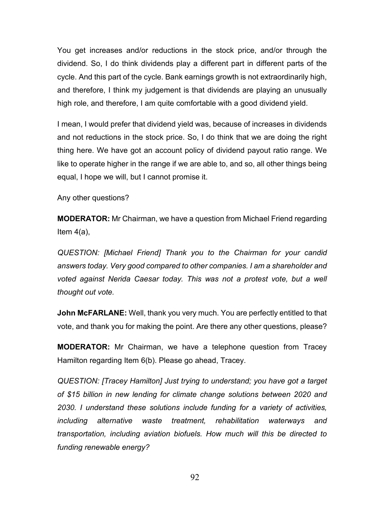You get increases and/or reductions in the stock price, and/or through the dividend. So, I do think dividends play a different part in different parts of the cycle. And this part of the cycle. Bank earnings growth is not extraordinarily high, and therefore, I think my judgement is that dividends are playing an unusually high role, and therefore, I am quite comfortable with a good dividend yield.

I mean, I would prefer that dividend yield was, because of increases in dividends and not reductions in the stock price. So, I do think that we are doing the right thing here. We have got an account policy of dividend payout ratio range. We like to operate higher in the range if we are able to, and so, all other things being equal, I hope we will, but I cannot promise it.

Any other questions?

**MODERATOR:** Mr Chairman, we have a question from Michael Friend regarding Item  $4(a)$ ,

*QUESTION: [Michael Friend] Thank you to the Chairman for your candid answers today. Very good compared to other companies. I am a shareholder and voted against Nerida Caesar today. This was not a protest vote, but a well thought out vote.* 

**John McFARLANE:** Well, thank you very much. You are perfectly entitled to that vote, and thank you for making the point. Are there any other questions, please?

**MODERATOR:** Mr Chairman, we have a telephone question from Tracey Hamilton regarding Item 6(b). Please go ahead, Tracey.

*QUESTION: [Tracey Hamilton] Just trying to understand; you have got a target of \$15 billion in new lending for climate change solutions between 2020 and 2030. I understand these solutions include funding for a variety of activities, including alternative waste treatment, rehabilitation waterways and transportation, including aviation biofuels. How much will this be directed to funding renewable energy?*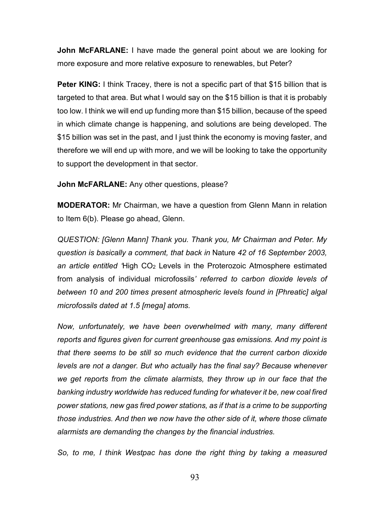**John McFARLANE:** I have made the general point about we are looking for more exposure and more relative exposure to renewables, but Peter?

**Peter KING:** I think Tracey, there is not a specific part of that \$15 billion that is targeted to that area. But what I would say on the \$15 billion is that it is probably too low. I think we will end up funding more than \$15 billion, because of the speed in which climate change is happening, and solutions are being developed. The \$15 billion was set in the past, and I just think the economy is moving faster, and therefore we will end up with more, and we will be looking to take the opportunity to support the development in that sector.

**John McFARLANE:** Any other questions, please?

**MODERATOR:** Mr Chairman, we have a question from Glenn Mann in relation to Item 6(b). Please go ahead, Glenn.

*QUESTION: [Glenn Mann] Thank you. Thank you, Mr Chairman and Peter. My question is basically a comment, that back in* Nature *42 of 16 September 2003, an article entitled '*High CO2 Levels in the Proterozoic Atmosphere estimated from analysis of individual microfossils*' referred to carbon dioxide levels of between 10 and 200 times present atmospheric levels found in [Phreatic] algal microfossils dated at 1.5 [mega] atoms.* 

*Now, unfortunately, we have been overwhelmed with many, many different reports and figures given for current greenhouse gas emissions. And my point is that there seems to be still so much evidence that the current carbon dioxide levels are not a danger. But who actually has the final say? Because whenever we get reports from the climate alarmists, they throw up in our face that the banking industry worldwide has reduced funding for whatever it be, new coal fired power stations, new gas fired power stations, as if that is a crime to be supporting those industries. And then we now have the other side of it, where those climate alarmists are demanding the changes by the financial industries.* 

*So, to me, I think Westpac has done the right thing by taking a measured*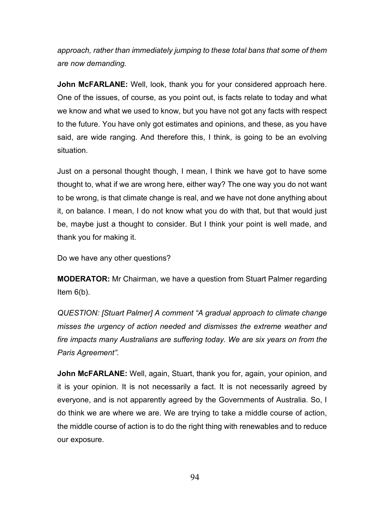*approach, rather than immediately jumping to these total bans that some of them are now demanding.* 

**John McFARLANE:** Well, look, thank you for your considered approach here. One of the issues, of course, as you point out, is facts relate to today and what we know and what we used to know, but you have not got any facts with respect to the future. You have only got estimates and opinions, and these, as you have said, are wide ranging. And therefore this, I think, is going to be an evolving situation.

Just on a personal thought though, I mean, I think we have got to have some thought to, what if we are wrong here, either way? The one way you do not want to be wrong, is that climate change is real, and we have not done anything about it, on balance. I mean, I do not know what you do with that, but that would just be, maybe just a thought to consider. But I think your point is well made, and thank you for making it.

Do we have any other questions?

**MODERATOR:** Mr Chairman, we have a question from Stuart Palmer regarding Item  $6(b)$ .

*QUESTION: [Stuart Palmer] A comment "A gradual approach to climate change misses the urgency of action needed and dismisses the extreme weather and fire impacts many Australians are suffering today. We are six years on from the Paris Agreement".* 

**John McFARLANE:** Well, again, Stuart, thank you for, again, your opinion, and it is your opinion. It is not necessarily a fact. It is not necessarily agreed by everyone, and is not apparently agreed by the Governments of Australia. So, I do think we are where we are. We are trying to take a middle course of action, the middle course of action is to do the right thing with renewables and to reduce our exposure.